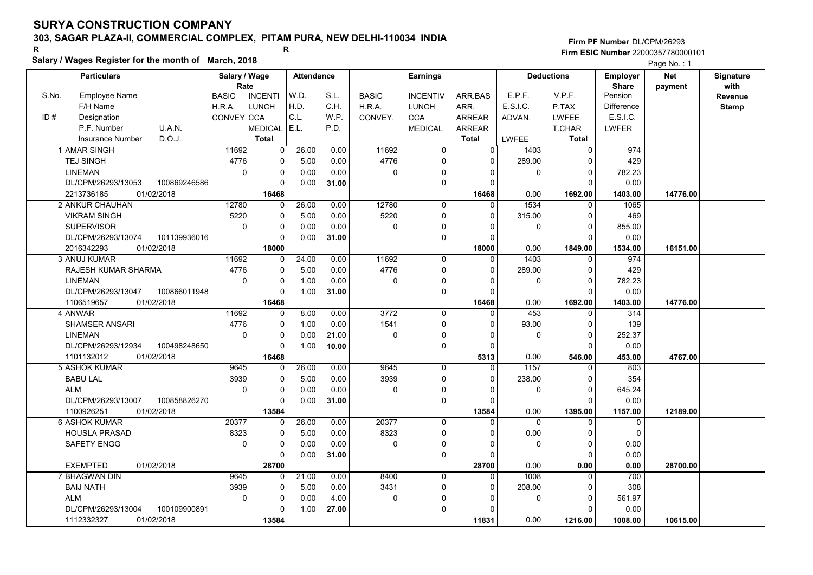# 303, SAGAR PLAZA-II, COMMERCIAL COMPLEX, PITAM PURA, NEW DELHI-110034 INDIA

#### Salary / Wages Register for the month of March, 2018

| <b>Earnings</b><br>Net<br><b>Particulars</b><br>Salary / Wage<br><b>Attendance</b><br><b>Deductions</b><br><b>Employer</b><br>Signature<br>Rate<br><b>Share</b><br>with<br>payment<br>W.D.<br>E.P.F.<br>S.No.<br>S.L.<br>V.P.F.<br><b>Employee Name</b><br><b>BASIC</b><br><b>INCENTI</b><br><b>BASIC</b><br><b>INCENTIV</b><br>ARR BAS<br>Pension<br>Revenue<br>F/H Name<br>H.D.<br>C.H.<br>E.S.I.C.<br><b>LUNCH</b><br>H.R.A.<br>ARR.<br>P.TAX<br><b>Difference</b><br>H.R.A.<br><b>LUNCH</b><br><b>Stamp</b><br>ID#<br>C.L.<br>E.S.I.C.<br>Designation<br>CONVEY CCA<br>W.P.<br><b>CCA</b><br>CONVEY.<br><b>ARREAR</b><br>ADVAN.<br><b>LWFEE</b><br>U.A.N.<br>E.L.<br>P.F. Number<br>P.D.<br><b>MEDICAL</b><br><b>MEDICAL</b><br><b>ARREAR</b><br><b>T.CHAR</b><br><b>LWFER</b><br>D.O.J.<br><b>Insurance Number</b><br><b>Total</b><br>LWFEE<br><b>Total</b><br><b>Total</b><br>11692<br>26.00<br>11692<br>974<br>1 AMAR SINGH<br>$\overline{0}$<br>0.00<br>$\overline{0}$<br>$\overline{0}$<br>1403<br>$\overline{0}$<br>4776<br>0.00<br>4776<br>289.00<br>429<br>TEJ SINGH<br>0<br>5.00<br>$\mathbf 0$<br>$\Omega$<br>n<br>$\pmb{0}$<br>LINEMAN<br>0<br>0.00<br>0.00<br>0<br>782.23<br>0<br>$\Omega$<br>$\mathbf 0$<br>$\Omega$<br>$\mathbf 0$<br>DL/CPM/26293/13053<br>100869246586<br>0<br>0.00<br>0.00<br>31.00<br>$\Omega$<br>$\Omega$<br>16468<br>14776.00<br>2213736185<br>01/02/2018<br>16468<br>0.00<br>1692.00<br>1403.00<br>12780<br>1534<br>2 ANKUR CHAUHAN<br>12780<br>26.00<br>0.00<br>1065<br>$\Omega$<br>0<br>$\Omega$<br>$\Omega$<br>5220<br>0.00<br>5220<br>469<br><b>VIKRAM SINGH</b><br>0<br>5.00<br>$\mathbf 0$<br>315.00<br>0<br>$\mathbf{0}$<br><b>SUPERVISOR</b><br>$\mathbf 0$<br>0<br>0.00<br>0.00<br>$\mathbf 0$<br>855.00<br>$\mathbf 0$<br>$\Omega$<br>0<br>DL/CPM/26293/13074<br>101139936016<br>$\Omega$<br>0.00<br>31.00<br>$\mathbf 0$<br>0.00<br>$\Omega$<br>$\Omega$<br>18000<br>18000<br>1849.00<br>2016342293<br>01/02/2018<br>0.00<br>1534.00<br>16151.00<br>11692<br>3 ANUJ KUMAR<br>11692<br>24.00<br>0.00<br>1403<br>974<br>0<br>$\mathbf 0$<br>$\Omega$<br>$\Omega$<br>4776<br>4776<br>RAJESH KUMAR SHARMA<br>0<br>5.00<br>0.00<br>$\mathbf 0$<br>289.00<br>429<br>$\Omega$<br>$\Omega$<br>$\mathbf 0$<br><b>LINEMAN</b><br>0<br>1.00<br>0.00<br>$\mathbf 0$<br>$\pmb{0}$<br>0<br>782.23<br>$\Omega$<br>0<br>0.00<br>DL/CPM/26293/13047<br>100866011948<br>0<br>1.00<br>31.00<br>$\mathbf 0$<br>0<br>$\Omega$<br>01/02/2018<br>16468<br>0.00<br>14776.00<br>1106519657<br>16468<br>1692.00<br>1403.00<br>11692<br>0.00<br>3772<br>453<br>4 ANWAR<br>8.00<br>$\overline{0}$<br>$\overline{314}$<br>0<br>0<br>$\Omega$<br>4776<br>1541<br><b>SHAMSER ANSARI</b><br>0<br>1.00<br>0.00<br>$\mathbf 0$<br>93.00<br>139<br>$\Omega$<br>$\Omega$<br>$\mathbf 0$<br>0<br>0.00<br>21.00<br>$\pmb{0}$<br>$\Omega$<br>0<br>252.37<br>LINEMAN<br>$\mathbf 0$<br>$\Omega$<br>$\pmb{0}$<br>DL/CPM/26293/12934<br>100498248650<br>$\Omega$<br>10.00<br>0.00<br>1.00<br>$\Omega$<br>$\Omega$<br>01/02/2018<br>1101132012<br>16468<br>0.00<br>4767.00<br>5313<br>546.00<br>453.00<br>9645<br>1157<br>5l ASHOK KUMAR<br>9645<br>26.00<br>0.00<br>$\mathbf 0$<br>803<br>0<br>$\Omega$<br>$\Omega$<br>3939<br>3939<br><b>BABU LAL</b><br>0<br>5.00<br>0.00<br>$\mathbf 0$<br>238.00<br>354<br>0<br>$\Omega$<br><b>ALM</b><br>$\mathbf 0$<br>0<br>0.00<br>0.00<br>645.24<br>$\mathbf 0$<br>0<br>0<br>$\Omega$<br>$\Omega$<br>DL/CPM/26293/13007<br>100858826270<br>$\Omega$<br>$\mathbf 0$<br>0.00<br>31.00<br>$\Omega$<br>0.00<br>ſ<br>1100926251<br>01/02/2018<br>13584<br>13584<br>0.00<br>1395.00<br>1157.00<br>12189.00<br>26.00<br>20377<br>20377<br>6 ASHOK KUMAR<br>0.00<br>$\mathbf 0$<br>$\Omega$<br>$\Omega$<br>$\mathbf 0$<br>0<br>$\Omega$<br>8323<br><b>HOUSLA PRASAD</b><br>8323<br>0<br>0.00<br>$\mathbf 0$<br>0.00<br>$\Omega$<br>5.00<br>$\Omega$<br>$\Omega$<br>$\mathbf 0$<br>0<br>0.00<br>$\mathbf 0$<br>0.00<br>SAFETY ENGG<br>0.00<br>$\mathbf 0$<br>0<br>0<br>$\Omega$<br>$\mathbf 0$<br>0.00<br>0<br>0.00<br>31.00<br>$\Omega$<br>$\Omega$<br><b>EXEMPTED</b><br>01/02/2018<br>0.00<br>28700<br>0.00<br>28700.00<br>28700<br>0.00<br><b>BHAGWAN DIN</b><br>9645<br>21.00<br>0.00<br>8400<br>1008<br>700<br>0<br>$\mathbf 0$<br>0<br>$\Omega$<br>3939<br>3431<br>208.00<br>308<br><b>BAIJ NATH</b><br>0<br>5.00<br>0.00<br>$\mathbf 0$<br>$\Omega$<br>$\Omega$<br><b>ALM</b><br>$\mathbf 0$<br>0<br>4.00<br>$\mathbf 0$<br>561.97<br>0.00<br>$\Omega$<br>0<br>$\Omega$<br>DL/CPM/26293/13004<br>100109900891<br>0<br>$\mathbf 0$<br>0.00<br>1.00<br>27.00<br>n<br>0.00 | Salary / wages Register for the month of March, 2018 |       |  |  |       |         |         | Page No.: 1 |  |
|--------------------------------------------------------------------------------------------------------------------------------------------------------------------------------------------------------------------------------------------------------------------------------------------------------------------------------------------------------------------------------------------------------------------------------------------------------------------------------------------------------------------------------------------------------------------------------------------------------------------------------------------------------------------------------------------------------------------------------------------------------------------------------------------------------------------------------------------------------------------------------------------------------------------------------------------------------------------------------------------------------------------------------------------------------------------------------------------------------------------------------------------------------------------------------------------------------------------------------------------------------------------------------------------------------------------------------------------------------------------------------------------------------------------------------------------------------------------------------------------------------------------------------------------------------------------------------------------------------------------------------------------------------------------------------------------------------------------------------------------------------------------------------------------------------------------------------------------------------------------------------------------------------------------------------------------------------------------------------------------------------------------------------------------------------------------------------------------------------------------------------------------------------------------------------------------------------------------------------------------------------------------------------------------------------------------------------------------------------------------------------------------------------------------------------------------------------------------------------------------------------------------------------------------------------------------------------------------------------------------------------------------------------------------------------------------------------------------------------------------------------------------------------------------------------------------------------------------------------------------------------------------------------------------------------------------------------------------------------------------------------------------------------------------------------------------------------------------------------------------------------------------------------------------------------------------------------------------------------------------------------------------------------------------------------------------------------------------------------------------------------------------------------------------------------------------------------------------------------------------------------------------------------------------------------------------------------------------------------------------------------------------------------------------------------------------------------------------------------------------------------------------------------------------------------------------------------------------------------------------------------------------------------------------------------------------------------------------------------------------------------------------------------------------------------------------------------------------------------------------------------------------------------------------------------------------------------------------------------------------------------------------------------------------------------------------------------------------------------------------------------------------------------------------------------------------------------------------------------------------------------------------------------------------------------------------------------------------------------------------------|------------------------------------------------------|-------|--|--|-------|---------|---------|-------------|--|
|                                                                                                                                                                                                                                                                                                                                                                                                                                                                                                                                                                                                                                                                                                                                                                                                                                                                                                                                                                                                                                                                                                                                                                                                                                                                                                                                                                                                                                                                                                                                                                                                                                                                                                                                                                                                                                                                                                                                                                                                                                                                                                                                                                                                                                                                                                                                                                                                                                                                                                                                                                                                                                                                                                                                                                                                                                                                                                                                                                                                                                                                                                                                                                                                                                                                                                                                                                                                                                                                                                                                                                                                                                                                                                                                                                                                                                                                                                                                                                                                                                                                                                                                                                                                                                                                                                                                                                                                                                                                                                                                                                                                                          |                                                      |       |  |  |       |         |         |             |  |
|                                                                                                                                                                                                                                                                                                                                                                                                                                                                                                                                                                                                                                                                                                                                                                                                                                                                                                                                                                                                                                                                                                                                                                                                                                                                                                                                                                                                                                                                                                                                                                                                                                                                                                                                                                                                                                                                                                                                                                                                                                                                                                                                                                                                                                                                                                                                                                                                                                                                                                                                                                                                                                                                                                                                                                                                                                                                                                                                                                                                                                                                                                                                                                                                                                                                                                                                                                                                                                                                                                                                                                                                                                                                                                                                                                                                                                                                                                                                                                                                                                                                                                                                                                                                                                                                                                                                                                                                                                                                                                                                                                                                                          |                                                      |       |  |  |       |         |         |             |  |
|                                                                                                                                                                                                                                                                                                                                                                                                                                                                                                                                                                                                                                                                                                                                                                                                                                                                                                                                                                                                                                                                                                                                                                                                                                                                                                                                                                                                                                                                                                                                                                                                                                                                                                                                                                                                                                                                                                                                                                                                                                                                                                                                                                                                                                                                                                                                                                                                                                                                                                                                                                                                                                                                                                                                                                                                                                                                                                                                                                                                                                                                                                                                                                                                                                                                                                                                                                                                                                                                                                                                                                                                                                                                                                                                                                                                                                                                                                                                                                                                                                                                                                                                                                                                                                                                                                                                                                                                                                                                                                                                                                                                                          |                                                      |       |  |  |       |         |         |             |  |
|                                                                                                                                                                                                                                                                                                                                                                                                                                                                                                                                                                                                                                                                                                                                                                                                                                                                                                                                                                                                                                                                                                                                                                                                                                                                                                                                                                                                                                                                                                                                                                                                                                                                                                                                                                                                                                                                                                                                                                                                                                                                                                                                                                                                                                                                                                                                                                                                                                                                                                                                                                                                                                                                                                                                                                                                                                                                                                                                                                                                                                                                                                                                                                                                                                                                                                                                                                                                                                                                                                                                                                                                                                                                                                                                                                                                                                                                                                                                                                                                                                                                                                                                                                                                                                                                                                                                                                                                                                                                                                                                                                                                                          |                                                      |       |  |  |       |         |         |             |  |
|                                                                                                                                                                                                                                                                                                                                                                                                                                                                                                                                                                                                                                                                                                                                                                                                                                                                                                                                                                                                                                                                                                                                                                                                                                                                                                                                                                                                                                                                                                                                                                                                                                                                                                                                                                                                                                                                                                                                                                                                                                                                                                                                                                                                                                                                                                                                                                                                                                                                                                                                                                                                                                                                                                                                                                                                                                                                                                                                                                                                                                                                                                                                                                                                                                                                                                                                                                                                                                                                                                                                                                                                                                                                                                                                                                                                                                                                                                                                                                                                                                                                                                                                                                                                                                                                                                                                                                                                                                                                                                                                                                                                                          |                                                      |       |  |  |       |         |         |             |  |
|                                                                                                                                                                                                                                                                                                                                                                                                                                                                                                                                                                                                                                                                                                                                                                                                                                                                                                                                                                                                                                                                                                                                                                                                                                                                                                                                                                                                                                                                                                                                                                                                                                                                                                                                                                                                                                                                                                                                                                                                                                                                                                                                                                                                                                                                                                                                                                                                                                                                                                                                                                                                                                                                                                                                                                                                                                                                                                                                                                                                                                                                                                                                                                                                                                                                                                                                                                                                                                                                                                                                                                                                                                                                                                                                                                                                                                                                                                                                                                                                                                                                                                                                                                                                                                                                                                                                                                                                                                                                                                                                                                                                                          |                                                      |       |  |  |       |         |         |             |  |
|                                                                                                                                                                                                                                                                                                                                                                                                                                                                                                                                                                                                                                                                                                                                                                                                                                                                                                                                                                                                                                                                                                                                                                                                                                                                                                                                                                                                                                                                                                                                                                                                                                                                                                                                                                                                                                                                                                                                                                                                                                                                                                                                                                                                                                                                                                                                                                                                                                                                                                                                                                                                                                                                                                                                                                                                                                                                                                                                                                                                                                                                                                                                                                                                                                                                                                                                                                                                                                                                                                                                                                                                                                                                                                                                                                                                                                                                                                                                                                                                                                                                                                                                                                                                                                                                                                                                                                                                                                                                                                                                                                                                                          |                                                      |       |  |  |       |         |         |             |  |
|                                                                                                                                                                                                                                                                                                                                                                                                                                                                                                                                                                                                                                                                                                                                                                                                                                                                                                                                                                                                                                                                                                                                                                                                                                                                                                                                                                                                                                                                                                                                                                                                                                                                                                                                                                                                                                                                                                                                                                                                                                                                                                                                                                                                                                                                                                                                                                                                                                                                                                                                                                                                                                                                                                                                                                                                                                                                                                                                                                                                                                                                                                                                                                                                                                                                                                                                                                                                                                                                                                                                                                                                                                                                                                                                                                                                                                                                                                                                                                                                                                                                                                                                                                                                                                                                                                                                                                                                                                                                                                                                                                                                                          |                                                      |       |  |  |       |         |         |             |  |
|                                                                                                                                                                                                                                                                                                                                                                                                                                                                                                                                                                                                                                                                                                                                                                                                                                                                                                                                                                                                                                                                                                                                                                                                                                                                                                                                                                                                                                                                                                                                                                                                                                                                                                                                                                                                                                                                                                                                                                                                                                                                                                                                                                                                                                                                                                                                                                                                                                                                                                                                                                                                                                                                                                                                                                                                                                                                                                                                                                                                                                                                                                                                                                                                                                                                                                                                                                                                                                                                                                                                                                                                                                                                                                                                                                                                                                                                                                                                                                                                                                                                                                                                                                                                                                                                                                                                                                                                                                                                                                                                                                                                                          |                                                      |       |  |  |       |         |         |             |  |
|                                                                                                                                                                                                                                                                                                                                                                                                                                                                                                                                                                                                                                                                                                                                                                                                                                                                                                                                                                                                                                                                                                                                                                                                                                                                                                                                                                                                                                                                                                                                                                                                                                                                                                                                                                                                                                                                                                                                                                                                                                                                                                                                                                                                                                                                                                                                                                                                                                                                                                                                                                                                                                                                                                                                                                                                                                                                                                                                                                                                                                                                                                                                                                                                                                                                                                                                                                                                                                                                                                                                                                                                                                                                                                                                                                                                                                                                                                                                                                                                                                                                                                                                                                                                                                                                                                                                                                                                                                                                                                                                                                                                                          |                                                      |       |  |  |       |         |         |             |  |
|                                                                                                                                                                                                                                                                                                                                                                                                                                                                                                                                                                                                                                                                                                                                                                                                                                                                                                                                                                                                                                                                                                                                                                                                                                                                                                                                                                                                                                                                                                                                                                                                                                                                                                                                                                                                                                                                                                                                                                                                                                                                                                                                                                                                                                                                                                                                                                                                                                                                                                                                                                                                                                                                                                                                                                                                                                                                                                                                                                                                                                                                                                                                                                                                                                                                                                                                                                                                                                                                                                                                                                                                                                                                                                                                                                                                                                                                                                                                                                                                                                                                                                                                                                                                                                                                                                                                                                                                                                                                                                                                                                                                                          |                                                      |       |  |  |       |         |         |             |  |
|                                                                                                                                                                                                                                                                                                                                                                                                                                                                                                                                                                                                                                                                                                                                                                                                                                                                                                                                                                                                                                                                                                                                                                                                                                                                                                                                                                                                                                                                                                                                                                                                                                                                                                                                                                                                                                                                                                                                                                                                                                                                                                                                                                                                                                                                                                                                                                                                                                                                                                                                                                                                                                                                                                                                                                                                                                                                                                                                                                                                                                                                                                                                                                                                                                                                                                                                                                                                                                                                                                                                                                                                                                                                                                                                                                                                                                                                                                                                                                                                                                                                                                                                                                                                                                                                                                                                                                                                                                                                                                                                                                                                                          |                                                      |       |  |  |       |         |         |             |  |
|                                                                                                                                                                                                                                                                                                                                                                                                                                                                                                                                                                                                                                                                                                                                                                                                                                                                                                                                                                                                                                                                                                                                                                                                                                                                                                                                                                                                                                                                                                                                                                                                                                                                                                                                                                                                                                                                                                                                                                                                                                                                                                                                                                                                                                                                                                                                                                                                                                                                                                                                                                                                                                                                                                                                                                                                                                                                                                                                                                                                                                                                                                                                                                                                                                                                                                                                                                                                                                                                                                                                                                                                                                                                                                                                                                                                                                                                                                                                                                                                                                                                                                                                                                                                                                                                                                                                                                                                                                                                                                                                                                                                                          |                                                      |       |  |  |       |         |         |             |  |
|                                                                                                                                                                                                                                                                                                                                                                                                                                                                                                                                                                                                                                                                                                                                                                                                                                                                                                                                                                                                                                                                                                                                                                                                                                                                                                                                                                                                                                                                                                                                                                                                                                                                                                                                                                                                                                                                                                                                                                                                                                                                                                                                                                                                                                                                                                                                                                                                                                                                                                                                                                                                                                                                                                                                                                                                                                                                                                                                                                                                                                                                                                                                                                                                                                                                                                                                                                                                                                                                                                                                                                                                                                                                                                                                                                                                                                                                                                                                                                                                                                                                                                                                                                                                                                                                                                                                                                                                                                                                                                                                                                                                                          |                                                      |       |  |  |       |         |         |             |  |
|                                                                                                                                                                                                                                                                                                                                                                                                                                                                                                                                                                                                                                                                                                                                                                                                                                                                                                                                                                                                                                                                                                                                                                                                                                                                                                                                                                                                                                                                                                                                                                                                                                                                                                                                                                                                                                                                                                                                                                                                                                                                                                                                                                                                                                                                                                                                                                                                                                                                                                                                                                                                                                                                                                                                                                                                                                                                                                                                                                                                                                                                                                                                                                                                                                                                                                                                                                                                                                                                                                                                                                                                                                                                                                                                                                                                                                                                                                                                                                                                                                                                                                                                                                                                                                                                                                                                                                                                                                                                                                                                                                                                                          |                                                      |       |  |  |       |         |         |             |  |
|                                                                                                                                                                                                                                                                                                                                                                                                                                                                                                                                                                                                                                                                                                                                                                                                                                                                                                                                                                                                                                                                                                                                                                                                                                                                                                                                                                                                                                                                                                                                                                                                                                                                                                                                                                                                                                                                                                                                                                                                                                                                                                                                                                                                                                                                                                                                                                                                                                                                                                                                                                                                                                                                                                                                                                                                                                                                                                                                                                                                                                                                                                                                                                                                                                                                                                                                                                                                                                                                                                                                                                                                                                                                                                                                                                                                                                                                                                                                                                                                                                                                                                                                                                                                                                                                                                                                                                                                                                                                                                                                                                                                                          |                                                      |       |  |  |       |         |         |             |  |
|                                                                                                                                                                                                                                                                                                                                                                                                                                                                                                                                                                                                                                                                                                                                                                                                                                                                                                                                                                                                                                                                                                                                                                                                                                                                                                                                                                                                                                                                                                                                                                                                                                                                                                                                                                                                                                                                                                                                                                                                                                                                                                                                                                                                                                                                                                                                                                                                                                                                                                                                                                                                                                                                                                                                                                                                                                                                                                                                                                                                                                                                                                                                                                                                                                                                                                                                                                                                                                                                                                                                                                                                                                                                                                                                                                                                                                                                                                                                                                                                                                                                                                                                                                                                                                                                                                                                                                                                                                                                                                                                                                                                                          |                                                      |       |  |  |       |         |         |             |  |
|                                                                                                                                                                                                                                                                                                                                                                                                                                                                                                                                                                                                                                                                                                                                                                                                                                                                                                                                                                                                                                                                                                                                                                                                                                                                                                                                                                                                                                                                                                                                                                                                                                                                                                                                                                                                                                                                                                                                                                                                                                                                                                                                                                                                                                                                                                                                                                                                                                                                                                                                                                                                                                                                                                                                                                                                                                                                                                                                                                                                                                                                                                                                                                                                                                                                                                                                                                                                                                                                                                                                                                                                                                                                                                                                                                                                                                                                                                                                                                                                                                                                                                                                                                                                                                                                                                                                                                                                                                                                                                                                                                                                                          |                                                      |       |  |  |       |         |         |             |  |
|                                                                                                                                                                                                                                                                                                                                                                                                                                                                                                                                                                                                                                                                                                                                                                                                                                                                                                                                                                                                                                                                                                                                                                                                                                                                                                                                                                                                                                                                                                                                                                                                                                                                                                                                                                                                                                                                                                                                                                                                                                                                                                                                                                                                                                                                                                                                                                                                                                                                                                                                                                                                                                                                                                                                                                                                                                                                                                                                                                                                                                                                                                                                                                                                                                                                                                                                                                                                                                                                                                                                                                                                                                                                                                                                                                                                                                                                                                                                                                                                                                                                                                                                                                                                                                                                                                                                                                                                                                                                                                                                                                                                                          |                                                      |       |  |  |       |         |         |             |  |
|                                                                                                                                                                                                                                                                                                                                                                                                                                                                                                                                                                                                                                                                                                                                                                                                                                                                                                                                                                                                                                                                                                                                                                                                                                                                                                                                                                                                                                                                                                                                                                                                                                                                                                                                                                                                                                                                                                                                                                                                                                                                                                                                                                                                                                                                                                                                                                                                                                                                                                                                                                                                                                                                                                                                                                                                                                                                                                                                                                                                                                                                                                                                                                                                                                                                                                                                                                                                                                                                                                                                                                                                                                                                                                                                                                                                                                                                                                                                                                                                                                                                                                                                                                                                                                                                                                                                                                                                                                                                                                                                                                                                                          |                                                      |       |  |  |       |         |         |             |  |
|                                                                                                                                                                                                                                                                                                                                                                                                                                                                                                                                                                                                                                                                                                                                                                                                                                                                                                                                                                                                                                                                                                                                                                                                                                                                                                                                                                                                                                                                                                                                                                                                                                                                                                                                                                                                                                                                                                                                                                                                                                                                                                                                                                                                                                                                                                                                                                                                                                                                                                                                                                                                                                                                                                                                                                                                                                                                                                                                                                                                                                                                                                                                                                                                                                                                                                                                                                                                                                                                                                                                                                                                                                                                                                                                                                                                                                                                                                                                                                                                                                                                                                                                                                                                                                                                                                                                                                                                                                                                                                                                                                                                                          |                                                      |       |  |  |       |         |         |             |  |
|                                                                                                                                                                                                                                                                                                                                                                                                                                                                                                                                                                                                                                                                                                                                                                                                                                                                                                                                                                                                                                                                                                                                                                                                                                                                                                                                                                                                                                                                                                                                                                                                                                                                                                                                                                                                                                                                                                                                                                                                                                                                                                                                                                                                                                                                                                                                                                                                                                                                                                                                                                                                                                                                                                                                                                                                                                                                                                                                                                                                                                                                                                                                                                                                                                                                                                                                                                                                                                                                                                                                                                                                                                                                                                                                                                                                                                                                                                                                                                                                                                                                                                                                                                                                                                                                                                                                                                                                                                                                                                                                                                                                                          |                                                      |       |  |  |       |         |         |             |  |
|                                                                                                                                                                                                                                                                                                                                                                                                                                                                                                                                                                                                                                                                                                                                                                                                                                                                                                                                                                                                                                                                                                                                                                                                                                                                                                                                                                                                                                                                                                                                                                                                                                                                                                                                                                                                                                                                                                                                                                                                                                                                                                                                                                                                                                                                                                                                                                                                                                                                                                                                                                                                                                                                                                                                                                                                                                                                                                                                                                                                                                                                                                                                                                                                                                                                                                                                                                                                                                                                                                                                                                                                                                                                                                                                                                                                                                                                                                                                                                                                                                                                                                                                                                                                                                                                                                                                                                                                                                                                                                                                                                                                                          |                                                      |       |  |  |       |         |         |             |  |
|                                                                                                                                                                                                                                                                                                                                                                                                                                                                                                                                                                                                                                                                                                                                                                                                                                                                                                                                                                                                                                                                                                                                                                                                                                                                                                                                                                                                                                                                                                                                                                                                                                                                                                                                                                                                                                                                                                                                                                                                                                                                                                                                                                                                                                                                                                                                                                                                                                                                                                                                                                                                                                                                                                                                                                                                                                                                                                                                                                                                                                                                                                                                                                                                                                                                                                                                                                                                                                                                                                                                                                                                                                                                                                                                                                                                                                                                                                                                                                                                                                                                                                                                                                                                                                                                                                                                                                                                                                                                                                                                                                                                                          |                                                      |       |  |  |       |         |         |             |  |
|                                                                                                                                                                                                                                                                                                                                                                                                                                                                                                                                                                                                                                                                                                                                                                                                                                                                                                                                                                                                                                                                                                                                                                                                                                                                                                                                                                                                                                                                                                                                                                                                                                                                                                                                                                                                                                                                                                                                                                                                                                                                                                                                                                                                                                                                                                                                                                                                                                                                                                                                                                                                                                                                                                                                                                                                                                                                                                                                                                                                                                                                                                                                                                                                                                                                                                                                                                                                                                                                                                                                                                                                                                                                                                                                                                                                                                                                                                                                                                                                                                                                                                                                                                                                                                                                                                                                                                                                                                                                                                                                                                                                                          |                                                      |       |  |  |       |         |         |             |  |
|                                                                                                                                                                                                                                                                                                                                                                                                                                                                                                                                                                                                                                                                                                                                                                                                                                                                                                                                                                                                                                                                                                                                                                                                                                                                                                                                                                                                                                                                                                                                                                                                                                                                                                                                                                                                                                                                                                                                                                                                                                                                                                                                                                                                                                                                                                                                                                                                                                                                                                                                                                                                                                                                                                                                                                                                                                                                                                                                                                                                                                                                                                                                                                                                                                                                                                                                                                                                                                                                                                                                                                                                                                                                                                                                                                                                                                                                                                                                                                                                                                                                                                                                                                                                                                                                                                                                                                                                                                                                                                                                                                                                                          |                                                      |       |  |  |       |         |         |             |  |
|                                                                                                                                                                                                                                                                                                                                                                                                                                                                                                                                                                                                                                                                                                                                                                                                                                                                                                                                                                                                                                                                                                                                                                                                                                                                                                                                                                                                                                                                                                                                                                                                                                                                                                                                                                                                                                                                                                                                                                                                                                                                                                                                                                                                                                                                                                                                                                                                                                                                                                                                                                                                                                                                                                                                                                                                                                                                                                                                                                                                                                                                                                                                                                                                                                                                                                                                                                                                                                                                                                                                                                                                                                                                                                                                                                                                                                                                                                                                                                                                                                                                                                                                                                                                                                                                                                                                                                                                                                                                                                                                                                                                                          |                                                      |       |  |  |       |         |         |             |  |
|                                                                                                                                                                                                                                                                                                                                                                                                                                                                                                                                                                                                                                                                                                                                                                                                                                                                                                                                                                                                                                                                                                                                                                                                                                                                                                                                                                                                                                                                                                                                                                                                                                                                                                                                                                                                                                                                                                                                                                                                                                                                                                                                                                                                                                                                                                                                                                                                                                                                                                                                                                                                                                                                                                                                                                                                                                                                                                                                                                                                                                                                                                                                                                                                                                                                                                                                                                                                                                                                                                                                                                                                                                                                                                                                                                                                                                                                                                                                                                                                                                                                                                                                                                                                                                                                                                                                                                                                                                                                                                                                                                                                                          |                                                      |       |  |  |       |         |         |             |  |
|                                                                                                                                                                                                                                                                                                                                                                                                                                                                                                                                                                                                                                                                                                                                                                                                                                                                                                                                                                                                                                                                                                                                                                                                                                                                                                                                                                                                                                                                                                                                                                                                                                                                                                                                                                                                                                                                                                                                                                                                                                                                                                                                                                                                                                                                                                                                                                                                                                                                                                                                                                                                                                                                                                                                                                                                                                                                                                                                                                                                                                                                                                                                                                                                                                                                                                                                                                                                                                                                                                                                                                                                                                                                                                                                                                                                                                                                                                                                                                                                                                                                                                                                                                                                                                                                                                                                                                                                                                                                                                                                                                                                                          |                                                      |       |  |  |       |         |         |             |  |
|                                                                                                                                                                                                                                                                                                                                                                                                                                                                                                                                                                                                                                                                                                                                                                                                                                                                                                                                                                                                                                                                                                                                                                                                                                                                                                                                                                                                                                                                                                                                                                                                                                                                                                                                                                                                                                                                                                                                                                                                                                                                                                                                                                                                                                                                                                                                                                                                                                                                                                                                                                                                                                                                                                                                                                                                                                                                                                                                                                                                                                                                                                                                                                                                                                                                                                                                                                                                                                                                                                                                                                                                                                                                                                                                                                                                                                                                                                                                                                                                                                                                                                                                                                                                                                                                                                                                                                                                                                                                                                                                                                                                                          |                                                      |       |  |  |       |         |         |             |  |
|                                                                                                                                                                                                                                                                                                                                                                                                                                                                                                                                                                                                                                                                                                                                                                                                                                                                                                                                                                                                                                                                                                                                                                                                                                                                                                                                                                                                                                                                                                                                                                                                                                                                                                                                                                                                                                                                                                                                                                                                                                                                                                                                                                                                                                                                                                                                                                                                                                                                                                                                                                                                                                                                                                                                                                                                                                                                                                                                                                                                                                                                                                                                                                                                                                                                                                                                                                                                                                                                                                                                                                                                                                                                                                                                                                                                                                                                                                                                                                                                                                                                                                                                                                                                                                                                                                                                                                                                                                                                                                                                                                                                                          |                                                      |       |  |  |       |         |         |             |  |
|                                                                                                                                                                                                                                                                                                                                                                                                                                                                                                                                                                                                                                                                                                                                                                                                                                                                                                                                                                                                                                                                                                                                                                                                                                                                                                                                                                                                                                                                                                                                                                                                                                                                                                                                                                                                                                                                                                                                                                                                                                                                                                                                                                                                                                                                                                                                                                                                                                                                                                                                                                                                                                                                                                                                                                                                                                                                                                                                                                                                                                                                                                                                                                                                                                                                                                                                                                                                                                                                                                                                                                                                                                                                                                                                                                                                                                                                                                                                                                                                                                                                                                                                                                                                                                                                                                                                                                                                                                                                                                                                                                                                                          |                                                      |       |  |  |       |         |         |             |  |
|                                                                                                                                                                                                                                                                                                                                                                                                                                                                                                                                                                                                                                                                                                                                                                                                                                                                                                                                                                                                                                                                                                                                                                                                                                                                                                                                                                                                                                                                                                                                                                                                                                                                                                                                                                                                                                                                                                                                                                                                                                                                                                                                                                                                                                                                                                                                                                                                                                                                                                                                                                                                                                                                                                                                                                                                                                                                                                                                                                                                                                                                                                                                                                                                                                                                                                                                                                                                                                                                                                                                                                                                                                                                                                                                                                                                                                                                                                                                                                                                                                                                                                                                                                                                                                                                                                                                                                                                                                                                                                                                                                                                                          |                                                      |       |  |  |       |         |         |             |  |
|                                                                                                                                                                                                                                                                                                                                                                                                                                                                                                                                                                                                                                                                                                                                                                                                                                                                                                                                                                                                                                                                                                                                                                                                                                                                                                                                                                                                                                                                                                                                                                                                                                                                                                                                                                                                                                                                                                                                                                                                                                                                                                                                                                                                                                                                                                                                                                                                                                                                                                                                                                                                                                                                                                                                                                                                                                                                                                                                                                                                                                                                                                                                                                                                                                                                                                                                                                                                                                                                                                                                                                                                                                                                                                                                                                                                                                                                                                                                                                                                                                                                                                                                                                                                                                                                                                                                                                                                                                                                                                                                                                                                                          |                                                      |       |  |  |       |         |         |             |  |
|                                                                                                                                                                                                                                                                                                                                                                                                                                                                                                                                                                                                                                                                                                                                                                                                                                                                                                                                                                                                                                                                                                                                                                                                                                                                                                                                                                                                                                                                                                                                                                                                                                                                                                                                                                                                                                                                                                                                                                                                                                                                                                                                                                                                                                                                                                                                                                                                                                                                                                                                                                                                                                                                                                                                                                                                                                                                                                                                                                                                                                                                                                                                                                                                                                                                                                                                                                                                                                                                                                                                                                                                                                                                                                                                                                                                                                                                                                                                                                                                                                                                                                                                                                                                                                                                                                                                                                                                                                                                                                                                                                                                                          |                                                      |       |  |  |       |         |         |             |  |
|                                                                                                                                                                                                                                                                                                                                                                                                                                                                                                                                                                                                                                                                                                                                                                                                                                                                                                                                                                                                                                                                                                                                                                                                                                                                                                                                                                                                                                                                                                                                                                                                                                                                                                                                                                                                                                                                                                                                                                                                                                                                                                                                                                                                                                                                                                                                                                                                                                                                                                                                                                                                                                                                                                                                                                                                                                                                                                                                                                                                                                                                                                                                                                                                                                                                                                                                                                                                                                                                                                                                                                                                                                                                                                                                                                                                                                                                                                                                                                                                                                                                                                                                                                                                                                                                                                                                                                                                                                                                                                                                                                                                                          |                                                      |       |  |  |       |         |         |             |  |
|                                                                                                                                                                                                                                                                                                                                                                                                                                                                                                                                                                                                                                                                                                                                                                                                                                                                                                                                                                                                                                                                                                                                                                                                                                                                                                                                                                                                                                                                                                                                                                                                                                                                                                                                                                                                                                                                                                                                                                                                                                                                                                                                                                                                                                                                                                                                                                                                                                                                                                                                                                                                                                                                                                                                                                                                                                                                                                                                                                                                                                                                                                                                                                                                                                                                                                                                                                                                                                                                                                                                                                                                                                                                                                                                                                                                                                                                                                                                                                                                                                                                                                                                                                                                                                                                                                                                                                                                                                                                                                                                                                                                                          |                                                      |       |  |  |       |         |         |             |  |
|                                                                                                                                                                                                                                                                                                                                                                                                                                                                                                                                                                                                                                                                                                                                                                                                                                                                                                                                                                                                                                                                                                                                                                                                                                                                                                                                                                                                                                                                                                                                                                                                                                                                                                                                                                                                                                                                                                                                                                                                                                                                                                                                                                                                                                                                                                                                                                                                                                                                                                                                                                                                                                                                                                                                                                                                                                                                                                                                                                                                                                                                                                                                                                                                                                                                                                                                                                                                                                                                                                                                                                                                                                                                                                                                                                                                                                                                                                                                                                                                                                                                                                                                                                                                                                                                                                                                                                                                                                                                                                                                                                                                                          |                                                      |       |  |  |       |         |         |             |  |
|                                                                                                                                                                                                                                                                                                                                                                                                                                                                                                                                                                                                                                                                                                                                                                                                                                                                                                                                                                                                                                                                                                                                                                                                                                                                                                                                                                                                                                                                                                                                                                                                                                                                                                                                                                                                                                                                                                                                                                                                                                                                                                                                                                                                                                                                                                                                                                                                                                                                                                                                                                                                                                                                                                                                                                                                                                                                                                                                                                                                                                                                                                                                                                                                                                                                                                                                                                                                                                                                                                                                                                                                                                                                                                                                                                                                                                                                                                                                                                                                                                                                                                                                                                                                                                                                                                                                                                                                                                                                                                                                                                                                                          |                                                      |       |  |  |       |         |         |             |  |
|                                                                                                                                                                                                                                                                                                                                                                                                                                                                                                                                                                                                                                                                                                                                                                                                                                                                                                                                                                                                                                                                                                                                                                                                                                                                                                                                                                                                                                                                                                                                                                                                                                                                                                                                                                                                                                                                                                                                                                                                                                                                                                                                                                                                                                                                                                                                                                                                                                                                                                                                                                                                                                                                                                                                                                                                                                                                                                                                                                                                                                                                                                                                                                                                                                                                                                                                                                                                                                                                                                                                                                                                                                                                                                                                                                                                                                                                                                                                                                                                                                                                                                                                                                                                                                                                                                                                                                                                                                                                                                                                                                                                                          |                                                      |       |  |  |       |         |         |             |  |
|                                                                                                                                                                                                                                                                                                                                                                                                                                                                                                                                                                                                                                                                                                                                                                                                                                                                                                                                                                                                                                                                                                                                                                                                                                                                                                                                                                                                                                                                                                                                                                                                                                                                                                                                                                                                                                                                                                                                                                                                                                                                                                                                                                                                                                                                                                                                                                                                                                                                                                                                                                                                                                                                                                                                                                                                                                                                                                                                                                                                                                                                                                                                                                                                                                                                                                                                                                                                                                                                                                                                                                                                                                                                                                                                                                                                                                                                                                                                                                                                                                                                                                                                                                                                                                                                                                                                                                                                                                                                                                                                                                                                                          |                                                      |       |  |  |       |         |         |             |  |
|                                                                                                                                                                                                                                                                                                                                                                                                                                                                                                                                                                                                                                                                                                                                                                                                                                                                                                                                                                                                                                                                                                                                                                                                                                                                                                                                                                                                                                                                                                                                                                                                                                                                                                                                                                                                                                                                                                                                                                                                                                                                                                                                                                                                                                                                                                                                                                                                                                                                                                                                                                                                                                                                                                                                                                                                                                                                                                                                                                                                                                                                                                                                                                                                                                                                                                                                                                                                                                                                                                                                                                                                                                                                                                                                                                                                                                                                                                                                                                                                                                                                                                                                                                                                                                                                                                                                                                                                                                                                                                                                                                                                                          | 1112332327<br>01/02/2018                             | 13584 |  |  | 11831 | 1216.00 | 1008.00 | 10615.00    |  |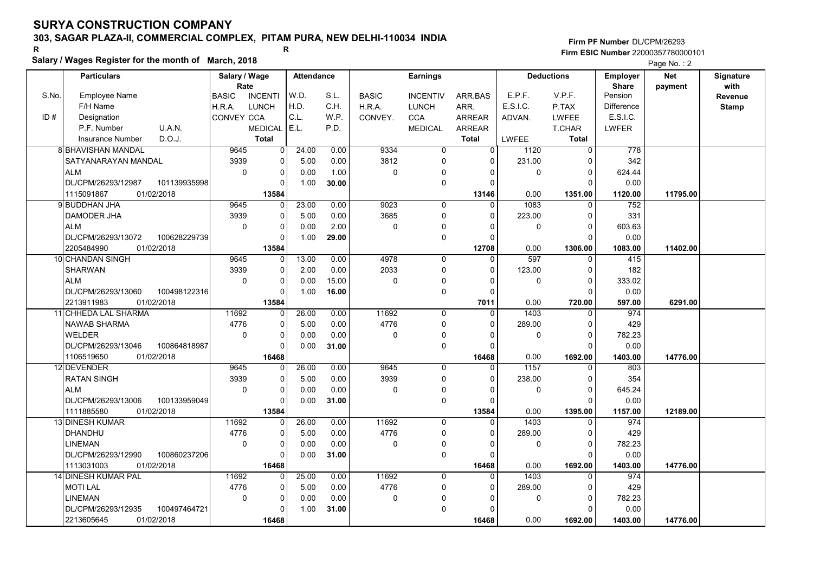# 303, SAGAR PLAZA-II, COMMERCIAL COMPLEX, PITAM PURA, NEW DELHI-110034 INDIA

#### Salary / Wages Register for the month of March, 2018

|       | Salary / wages Register for the month of March, 2018 |                                |                         |       |              |                 |                |              |                   |                   | Page No.: 2 |              |
|-------|------------------------------------------------------|--------------------------------|-------------------------|-------|--------------|-----------------|----------------|--------------|-------------------|-------------------|-------------|--------------|
|       | <b>Particulars</b>                                   | Salary / Wage                  | <b>Attendance</b>       |       |              | <b>Earnings</b> |                |              | <b>Deductions</b> | <b>Employer</b>   | <b>Net</b>  | Signature    |
|       |                                                      | Rate                           |                         |       |              |                 |                |              |                   | <b>Share</b>      | payment     | with         |
| S.No. | <b>Employee Name</b>                                 | <b>BASIC</b><br><b>INCENTI</b> | W.D.                    | S.L.  | <b>BASIC</b> | <b>INCENTIV</b> | ARR BAS        | E.P.F.       | V.P.F.            | Pension           |             | Revenue      |
|       | F/H Name                                             | <b>LUNCH</b><br>H.R.A.         | H.D.                    | C.H.  | H.R.A.       | <b>LUNCH</b>    | ARR.           | E.S.I.C.     | P.TAX             | <b>Difference</b> |             | <b>Stamp</b> |
| ID#   | Designation                                          | CONVEY CCA                     | C.L.                    | W.P.  | CONVEY.      | <b>CCA</b>      | <b>ARREAR</b>  | ADVAN.       | <b>LWFEE</b>      | E.S.I.C.          |             |              |
|       | U.A.N.<br>P.F. Number                                | <b>MEDICAL</b>                 | E.L.                    | P.D.  |              | <b>MEDICAL</b>  | <b>ARREAR</b>  |              | T.CHAR            | <b>LWFER</b>      |             |              |
|       | D.O.J.<br>Insurance Number                           | <b>Total</b>                   |                         |       |              |                 | <b>Total</b>   | <b>LWFEE</b> | <b>Total</b>      |                   |             |              |
|       | <b>8 BHAVISHAN MANDAL</b>                            | 9645                           | 24.00<br>$\overline{0}$ | 0.00  | 9334         | $\overline{0}$  | $\overline{0}$ | 1120         | $\overline{0}$    | 778               |             |              |
|       | SATYANARAYAN MANDAL                                  | 3939                           | 0<br>5.00               | 0.00  | 3812         | 0               | $\Omega$       | 231.00       | $\Omega$          | 342               |             |              |
|       | <b>ALM</b>                                           | $\mathbf 0$                    | 0<br>0.00               | 1.00  | 0            | $\Omega$        | $\Omega$       | 0            | $\Omega$          | 624.44            |             |              |
|       | DL/CPM/26293/12987<br>101139935998                   |                                | 1.00<br>0               | 30.00 |              | $\mathbf 0$     | $\Omega$       |              | $\Omega$          | 0.00              |             |              |
|       | 01/02/2018<br>1115091867                             | 13584                          |                         |       |              |                 | 13146          | 0.00         | 1351.00           | 1120.00           | 11795.00    |              |
|       | 9 BUDDHAN JHA                                        | 9645                           | 23.00<br>$\Omega$       | 0.00  | 9023         | 0               | $\Omega$       | 1083         | $\Omega$          | 752               |             |              |
|       | DAMODER JHA                                          | 3939                           | 5.00<br>0               | 0.00  | 3685         | $\Omega$        | $\Omega$       | 223.00       | 0                 | 331               |             |              |
|       | <b>ALM</b>                                           | $\mathbf 0$                    | 0<br>0.00               | 2.00  | 0            | $\mathbf 0$     | O              | 0            | $\Omega$          | 603.63            |             |              |
|       | DL/CPM/26293/13072<br>100628229739                   |                                | $\Omega$<br>1.00        | 29.00 |              | $\mathbf 0$     | $\Omega$       |              | $\Omega$          | 0.00              |             |              |
|       | 01/02/2018<br>2205484990                             | 13584                          |                         |       |              |                 | 12708          | 0.00         | 1306.00           | 1083.00           | 11402.00    |              |
|       | 10 CHANDAN SINGH                                     | 9645                           | 13.00<br>0              | 0.00  | 4978         | $\mathbf 0$     | $\Omega$       | 597          | $\Omega$          | 415               |             |              |
|       | <b>SHARWAN</b>                                       | 3939                           | $\Omega$<br>2.00        | 0.00  | 2033         | $\mathbf 0$     | $\Omega$       | 123.00       | $\Omega$          | 182               |             |              |
|       | <b>ALM</b>                                           | $\Omega$                       | $\Omega$<br>0.00        | 15.00 | $\Omega$     | $\mathbf 0$     | $\Omega$       | $\Omega$     | $\Omega$          | 333.02            |             |              |
|       | DL/CPM/26293/13060<br>100498122316                   |                                | 1.00<br>$\Omega$        | 16.00 |              | $\mathbf 0$     | 0              |              | $\Omega$          | 0.00              |             |              |
|       | 2213911983<br>01/02/2018                             | 13584                          |                         |       |              |                 | 7011           | 0.00         | 720.00            | 597.00            | 6291.00     |              |
|       | 11 CHHEDA LAL SHARMA                                 | 11692                          | 26.00<br>$\Omega$       | 0.00  | 11692        | $\Omega$        | $\Omega$       | 1403         | $\Omega$          | 974               |             |              |
|       | <b>NAWAB SHARMA</b>                                  | 4776                           | 5.00<br>0               | 0.00  | 4776         | 0               | $\Omega$       | 289.00       | $\Omega$          | 429               |             |              |
|       | <b>WELDER</b>                                        | $\mathbf 0$                    | 0<br>0.00               | 0.00  | 0            | $\Omega$        | 0              | 0            | 0                 | 782.23            |             |              |
|       | DL/CPM/26293/13046<br>100864818987                   |                                | 0.00<br>$\Omega$        | 31.00 |              | $\mathbf 0$     | $\Omega$       |              | $\Omega$          | 0.00              |             |              |
|       | 1106519650<br>01/02/2018                             | 16468                          |                         |       |              |                 | 16468          | 0.00         | 1692.00           | 1403.00           | 14776.00    |              |
|       | 12 DEVENDER                                          | 9645                           | 26.00<br>0              | 0.00  | 9645         | 0               | 0              | 1157         | $\Omega$          | 803               |             |              |
|       | <b>RATAN SINGH</b>                                   | 3939                           | 0<br>5.00               | 0.00  | 3939         | $\mathbf 0$     | $\Omega$       | 238.00       | $\Omega$          | 354               |             |              |
|       | <b>ALM</b>                                           | $\Omega$                       | 0.00<br>$\Omega$        | 0.00  | $\Omega$     | $\mathbf 0$     | $\Omega$       | $\Omega$     | $\Omega$          | 645.24            |             |              |
|       | DL/CPM/26293/13006<br>100133959049                   |                                | $\Omega$<br>0.00        | 31.00 |              | $\mathbf 0$     | $\Omega$       |              | $\mathsf{C}$      | 0.00              |             |              |
|       | 1111885580<br>01/02/2018                             | 13584                          |                         |       |              |                 | 13584          | 0.00         | 1395.00           | 1157.00           | 12189.00    |              |
|       | <b>13 DINESH KUMAR</b>                               | 11692                          | 26.00<br>$\Omega$       | 0.00  | 11692        | $\mathbf 0$     | $\Omega$       | 1403         | $\Omega$          | 974               |             |              |
|       | DHANDHU                                              | 4776                           | 0<br>5.00               | 0.00  | 4776         | $\mathbf 0$     | $\Omega$       | 289.00       | $\mathbf 0$       | 429               |             |              |
|       | <b>LINEMAN</b>                                       | $\mathbf 0$                    | $\Omega$<br>0.00        | 0.00  | 0            | 0               | $\Omega$       | 0            | $\Omega$          | 782.23            |             |              |
|       | DL/CPM/26293/12990<br>100860237206                   |                                | 0.00<br>$\Omega$        | 31.00 |              | $\mathbf 0$     | $\Omega$       |              | $\Omega$          | 0.00              |             |              |
|       | 01/02/2018<br>1113031003                             | 16468                          |                         |       |              |                 | 16468          | 0.00         | 1692.00           | 1403.00           | 14776.00    |              |
|       | 14 DINESH KUMAR PAL                                  | 11692                          | 25.00<br>0 <sup>1</sup> | 0.00  | 11692        | $\mathbf 0$     | $\Omega$       | 1403         | $\Omega$          | 974               |             |              |
|       | <b>MOTI LAL</b>                                      | 4776                           | 5.00<br>0               | 0.00  | 4776         | $\mathbf 0$     | 0              | 289.00       | $\Omega$          | 429               |             |              |
|       | <b>LINEMAN</b>                                       | $\mathbf 0$                    | 0<br>0.00               | 0.00  | 0            | $\Omega$        | $\Omega$       | 0            | $\mathbf 0$       | 782.23            |             |              |
|       | DL/CPM/26293/12935<br>100497464721                   |                                | 0<br>1.00               | 31.00 |              | $\mathbf 0$     | O              |              | $\Omega$          | 0.00              |             |              |
|       | 2213605645<br>01/02/2018                             | 16468                          |                         |       |              |                 | 16468          | 0.00         | 1692.00           | 1403.00           | 14776.00    |              |
|       |                                                      |                                |                         |       |              |                 |                |              |                   |                   |             |              |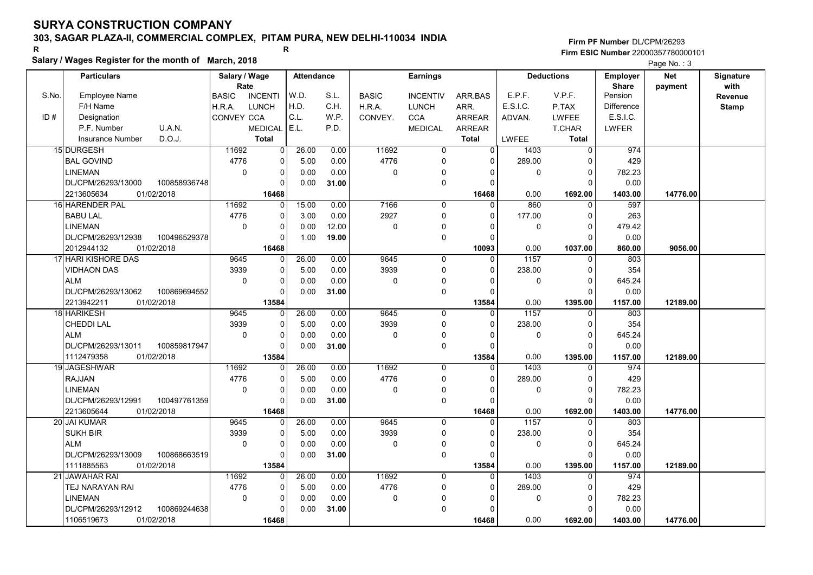### 303, SAGAR PLAZA-II, COMMERCIAL COMPLEX, PITAM PURA, NEW DELHI-110034 INDIA

### Salary / Wages Register for the month of March, 2018

Firm PF Number DL/CPM/26293 Firm ESIC Number <sup>22000357780000101</sup> R R

|       | Salary / Wages Register for the month of March, 2018 |                       |                |                   |       |              |                 |                |              |                   |                                 | Page No.: 3           |                   |
|-------|------------------------------------------------------|-----------------------|----------------|-------------------|-------|--------------|-----------------|----------------|--------------|-------------------|---------------------------------|-----------------------|-------------------|
|       | <b>Particulars</b>                                   | Salary / Wage<br>Rate |                | <b>Attendance</b> |       |              | <b>Earnings</b> |                |              | <b>Deductions</b> | <b>Employer</b><br><b>Share</b> | <b>Net</b><br>payment | Signature<br>with |
| S.No. | <b>Employee Name</b>                                 | <b>BASIC</b>          | <b>INCENTI</b> | W.D.              | S.L.  | <b>BASIC</b> | <b>INCENTIV</b> | ARR.BAS        | E.P.F.       | V.P.F.            | Pension                         |                       | Revenue           |
|       | F/H Name                                             | H.R.A.                | <b>LUNCH</b>   | H.D.              | C.H.  | H.R.A.       | <b>LUNCH</b>    | ARR.           | E.S.I.C.     | P.TAX             | <b>Difference</b>               |                       | <b>Stamp</b>      |
| ID#   | Designation                                          | CONVEY CCA            |                | C.L.              | W.P.  | CONVEY.      | CCA             | <b>ARREAR</b>  | ADVAN.       | <b>LWFEE</b>      | E.S.I.C.                        |                       |                   |
|       | P.F. Number<br>U.A.N.                                |                       | <b>MEDICAL</b> | E.L.              | P.D.  |              | <b>MEDICAL</b>  | <b>ARREAR</b>  |              | T.CHAR            | LWFER                           |                       |                   |
|       | D.O.J.<br><b>Insurance Number</b>                    |                       | <b>Total</b>   |                   |       |              |                 | <b>Total</b>   | <b>LWFEE</b> | <b>Total</b>      |                                 |                       |                   |
|       | 15 DURGESH                                           | 11692                 | $\overline{0}$ | 26.00             | 0.00  | 11692        | $\overline{0}$  | $\overline{0}$ | 1403         | $\overline{0}$    | 974                             |                       |                   |
|       | <b>BAL GOVIND</b>                                    | 4776                  | $\Omega$       | 5.00              | 0.00  | 4776         | $\mathbf 0$     | 0              | 289.00       | 0                 | 429                             |                       |                   |
|       | <b>LINEMAN</b>                                       | $\Omega$              | $\mathbf 0$    | 0.00              | 0.00  | $\Omega$     | $\mathbf 0$     | 0              | $\mathbf 0$  | $\mathbf 0$       | 782.23                          |                       |                   |
|       | DL/CPM/26293/13000<br>100858936748                   |                       | $\Omega$       | 0.00              | 31.00 |              | $\mathbf 0$     | 0              |              | $\Omega$          | 0.00                            |                       |                   |
|       | 2213605634<br>01/02/2018                             |                       | 16468          |                   |       |              |                 | 16468          | 0.00         | 1692.00           | 1403.00                         | 14776.00              |                   |
|       | 16 HARENDER PAL                                      | 11692                 | $\Omega$       | 15.00             | 0.00  | 7166         | $\Omega$        | 0              | 860          | $\Omega$          | 597                             |                       |                   |
|       | <b>BABU LAL</b>                                      | 4776                  | $\Omega$       | 3.00              | 0.00  | 2927         | $\Omega$        | 0              | 177.00       | $\Omega$          | 263                             |                       |                   |
|       | <b>LINEMAN</b>                                       | $\Omega$              | $\Omega$       | 0.00              | 12.00 | $\mathbf 0$  | $\mathbf 0$     | 0              | $\Omega$     | $\mathbf 0$       | 479.42                          |                       |                   |
|       | DL/CPM/26293/12938<br>100496529378                   |                       | $\Omega$       | 1.00              | 19.00 |              | $\Omega$        | 0              |              | $\Omega$          | 0.00                            |                       |                   |
|       | 2012944132<br>01/02/2018                             |                       | 16468          |                   |       |              |                 | 10093          | 0.00         | 1037.00           | 860.00                          | 9056.00               |                   |
|       | 17 HARI KISHORE DAS                                  | 9645                  | $\Omega$       | 26.00             | 0.00  | 9645         | $\Omega$        | 0              | 1157         | 0                 | 803                             |                       |                   |
|       | <b>VIDHAON DAS</b>                                   | 3939                  | $\Omega$       | 5.00              | 0.00  | 3939         | $\mathbf 0$     | 0              | 238.00       | $\Omega$          | 354                             |                       |                   |
|       | <b>ALM</b>                                           | $\Omega$              | $\Omega$       | 0.00              | 0.00  | $\mathbf 0$  | $\mathbf 0$     | 0              | $\mathbf 0$  | $\mathbf 0$       | 645.24                          |                       |                   |
|       | DL/CPM/26293/13062<br>100869694552                   |                       | $\Omega$       | 0.00              | 31.00 |              | $\Omega$        | $\Omega$       |              | $\Omega$          | 0.00                            |                       |                   |
|       | 2213942211<br>01/02/2018                             |                       | 13584          |                   |       |              |                 | 13584          | 0.00         | 1395.00           | 1157.00                         | 12189.00              |                   |
|       | 18 HARIKESH                                          | 9645                  | $\Omega$       | 26.00             | 0.00  | 9645         | $\Omega$        | $\Omega$       | 1157         | $\mathbf 0$       | 803                             |                       |                   |
|       | <b>CHEDDI LAL</b>                                    | 3939                  | $\Omega$       | 5.00              | 0.00  | 3939         | $\mathbf 0$     | 0              | 238.00       | $\Omega$          | 354                             |                       |                   |
|       | <b>ALM</b>                                           | $\mathbf 0$           | $\Omega$       | 0.00              | 0.00  | $\mathbf 0$  | $\mathbf 0$     | 0              | $\mathbf 0$  | $\mathbf 0$       | 645.24                          |                       |                   |
|       | DL/CPM/26293/13011<br>100859817947                   |                       | $\Omega$       | 0.00              | 31.00 |              | $\Omega$        | 0              |              | $\Omega$          | 0.00                            |                       |                   |
|       | 1112479358<br>01/02/2018                             |                       | 13584          |                   |       |              |                 | 13584          | 0.00         | 1395.00           | 1157.00                         | 12189.00              |                   |
|       | 19 JAGESHWAR                                         | 11692                 | $\Omega$       | 26.00             | 0.00  | 11692        | $\Omega$        | 0              | 1403         | $\mathbf 0$       | 974                             |                       |                   |
|       | <b>RAJJAN</b>                                        | 4776                  | $\Omega$       | 5.00              | 0.00  | 4776         | $\mathbf 0$     | 0              | 289.00       | $\mathbf 0$       | 429                             |                       |                   |
|       | <b>LINEMAN</b>                                       | $\Omega$              | 0              | 0.00              | 0.00  | $\Omega$     | $\mathbf 0$     | 0              | 0            | $\Omega$          | 782.23                          |                       |                   |
|       | DL/CPM/26293/12991<br>100497761359                   |                       | $\Omega$       | 0.00              | 31.00 |              | $\mathbf 0$     | 0              |              | $\Omega$          | 0.00                            |                       |                   |
|       | 2213605644<br>01/02/2018                             |                       | 16468          |                   |       |              |                 | 16468          | 0.00         | 1692.00           | 1403.00                         | 14776.00              |                   |
|       | 20 JAI KUMAR                                         | 9645                  | $\Omega$       | 26.00             | 0.00  | 9645         | 0               | 0              | 1157         | $\Omega$          | 803                             |                       |                   |
|       | <b>SUKH BIR</b>                                      | 3939                  | 0              | 5.00              | 0.00  | 3939         | $\mathbf 0$     | 0              | 238.00       | $\Omega$          | 354                             |                       |                   |
|       | <b>ALM</b>                                           | $\mathbf 0$           | $\Omega$       | 0.00              | 0.00  | $\mathbf 0$  | $\mathbf 0$     | 0              | $\mathbf 0$  | $\mathbf 0$       | 645.24                          |                       |                   |
|       | DL/CPM/26293/13009<br>100868663519                   |                       | $\Omega$       | 0.00              | 31.00 |              | $\Omega$        | $\Omega$       |              | $\Omega$          | 0.00                            |                       |                   |
|       | 1111885563<br>01/02/2018                             |                       | 13584          |                   |       |              |                 | 13584          | 0.00         | 1395.00           | 1157.00                         | 12189.00              |                   |
|       | 21 JAWAHAR RAI                                       | 11692                 | $\Omega$       | 26.00             | 0.00  | 11692        | $\Omega$        | $\Omega$       | 1403         | $\Omega$          | 974                             |                       |                   |
|       | TEJ NARAYAN RAI                                      | 4776                  | $\Omega$       | 5.00              | 0.00  | 4776         | $\mathbf 0$     | $\mathbf 0$    | 289.00       | 0                 | 429                             |                       |                   |
|       | <b>LINEMAN</b>                                       | $\Omega$              | $\Omega$       | 0.00              | 0.00  | $\mathbf 0$  | $\mathbf 0$     | 0              | $\Omega$     | $\Omega$          | 782.23                          |                       |                   |
|       | DL/CPM/26293/12912<br>100869244638                   |                       | $\Omega$       | 0.00              | 31.00 |              | $\Omega$        | $\Omega$       |              | 0                 | 0.00                            |                       |                   |
|       | 1106519673<br>01/02/2018                             |                       | 16468          |                   |       |              |                 | 16468          | 0.00         | 1692.00           | 1403.00                         | 14776.00              |                   |

01/02/2018 | 16468| | 16468 | 0.00 1692.00 | 1403.00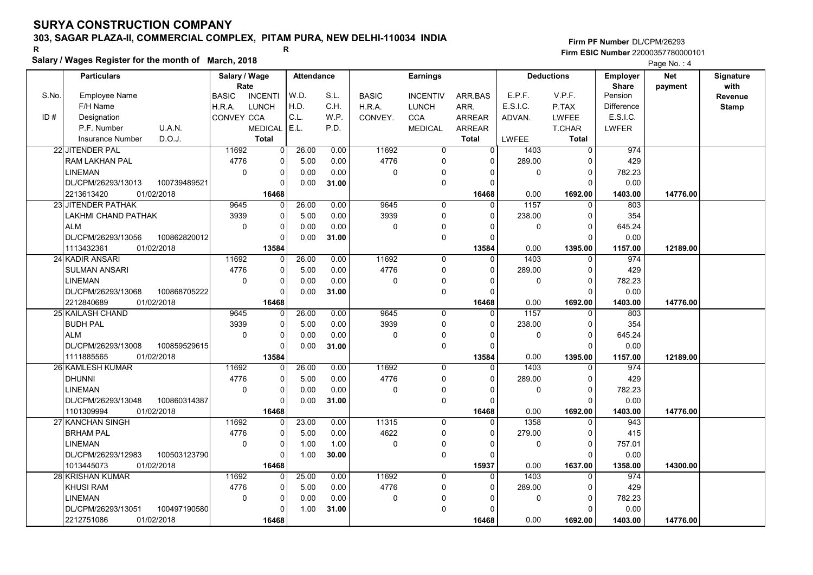# 303, SAGAR PLAZA-II, COMMERCIAL COMPLEX, PITAM PURA, NEW DELHI-110034 INDIA

#### Salary / Wages Register for the month of March, 2018

|       | Salary / wages Register for the month of March, 2018 |                                |                         |       |              |                 |                |              |                   |                   | Page No.: 4 |              |
|-------|------------------------------------------------------|--------------------------------|-------------------------|-------|--------------|-----------------|----------------|--------------|-------------------|-------------------|-------------|--------------|
|       | <b>Particulars</b>                                   | Salary / Wage                  | <b>Attendance</b>       |       |              | <b>Earnings</b> |                |              | <b>Deductions</b> | <b>Employer</b>   | <b>Net</b>  | Signature    |
|       |                                                      | Rate                           |                         |       |              |                 |                |              |                   | <b>Share</b>      | payment     | with         |
| S.No. | <b>Employee Name</b>                                 | <b>BASIC</b><br><b>INCENTI</b> | W.D.                    | S.L.  | <b>BASIC</b> | <b>INCENTIV</b> | ARR BAS        | E.P.F.       | V.P.F.            | Pension           |             | Revenue      |
|       | F/H Name                                             | <b>LUNCH</b><br>H.R.A.         | H.D.                    | C.H.  | H.R.A.       | <b>LUNCH</b>    | ARR.           | E.S.I.C.     | P.TAX             | <b>Difference</b> |             | <b>Stamp</b> |
| ID#   | Designation                                          | CONVEY CCA                     | C.L.                    | W.P.  | CONVEY.      | <b>CCA</b>      | <b>ARREAR</b>  | ADVAN.       | <b>LWFEE</b>      | E.S.I.C.          |             |              |
|       | U.A.N.<br>P.F. Number                                | <b>MEDICAL</b>                 | E.L.                    | P.D.  |              | <b>MEDICAL</b>  | <b>ARREAR</b>  |              | T.CHAR            | <b>LWFER</b>      |             |              |
|       | D.O.J.<br><b>Insurance Number</b>                    | <b>Total</b>                   |                         |       |              |                 | <b>Total</b>   | <b>LWFEE</b> | <b>Total</b>      |                   |             |              |
|       | 22 JITENDER PAL                                      | 11692                          | 26.00<br>$\overline{0}$ | 0.00  | 11692        | $\overline{0}$  | $\overline{0}$ | 1403         | $\overline{0}$    | 974               |             |              |
|       | <b>RAM LAKHAN PAL</b>                                | 4776                           | 0<br>5.00               | 0.00  | 4776         | 0               | $\Omega$       | 289.00       | $\Omega$          | 429               |             |              |
|       | <b>LINEMAN</b>                                       | $\mathbf 0$                    | 0<br>0.00               | 0.00  | 0            | $\Omega$        | $\Omega$       | 0            | $\mathbf 0$       | 782.23            |             |              |
|       | DL/CPM/26293/13013<br>100739489521                   |                                | 0.00<br>$\Omega$        | 31.00 |              | $\mathbf 0$     | $\Omega$       |              | $\Omega$          | 0.00              |             |              |
|       | 01/02/2018<br>2213613420                             | 16468                          |                         |       |              |                 | 16468          | 0.00         | 1692.00           | 1403.00           | 14776.00    |              |
|       | 23 JITENDER PATHAK                                   | 9645                           | 26.00<br>$\Omega$       | 0.00  | 9645         | 0               | $\Omega$       | 1157         | $\Omega$          | 803               |             |              |
|       | <b>LAKHMI CHAND PATHAK</b>                           | 3939                           | 5.00<br>0               | 0.00  | 3939         | $\Omega$        | $\Omega$       | 238.00       | 0                 | 354               |             |              |
|       | <b>ALM</b>                                           | $\mathbf 0$                    | 0<br>0.00               | 0.00  | 0            | $\mathbf 0$     | O              | 0            | $\Omega$          | 645.24            |             |              |
|       | DL/CPM/26293/13056<br>100862820012                   |                                | 0<br>0.00               | 31.00 |              | $\mathbf 0$     | $\Omega$       |              | $\Omega$          | 0.00              |             |              |
|       | 1113432361<br>01/02/2018                             | 13584                          |                         |       |              |                 | 13584          | 0.00         | 1395.00           | 1157.00           | 12189.00    |              |
|       | 24 KADIR ANSARI                                      | 11692                          | 26.00<br>0              | 0.00  | 11692        | $\mathbf 0$     | $\Omega$       | 1403         | $\Omega$          | 974               |             |              |
|       | <b>SULMAN ANSARI</b>                                 | 4776                           | $\Omega$<br>5.00        | 0.00  | 4776         | $\mathbf 0$     | $\Omega$       | 289.00       | $\Omega$          | 429               |             |              |
|       | <b>LINEMAN</b>                                       | $\Omega$                       | $\Omega$<br>0.00        | 0.00  | $\Omega$     | $\mathbf 0$     | $\Omega$       | 0            | $\Omega$          | 782.23            |             |              |
|       | DL/CPM/26293/13068<br>100868705222                   |                                | 0.00<br>$\Omega$        | 31.00 |              | $\mathbf 0$     | $\Omega$       |              | $\Omega$          | 0.00              |             |              |
|       | 2212840689<br>01/02/2018                             | 16468                          |                         |       |              |                 | 16468          | 0.00         | 1692.00           | 1403.00           | 14776.00    |              |
|       | 25 KAILASH CHAND                                     | 9645                           | 26.00<br>$\Omega$       | 0.00  | 9645         | $\Omega$        | $\Omega$       | 1157         | $\Omega$          | 803               |             |              |
|       | <b>BUDH PAL</b>                                      | 3939                           | 5.00<br>0               | 0.00  | 3939         | 0               | $\Omega$       | 238.00       | $\Omega$          | 354               |             |              |
|       | <b>ALM</b>                                           | $\mathbf 0$                    | 0<br>0.00               | 0.00  | 0            | $\Omega$        | 0              | 0            | 0                 | 645.24            |             |              |
|       | DL/CPM/26293/13008<br>100859529615                   |                                | 0.00<br>$\Omega$        | 31.00 |              | $\mathbf 0$     | $\Omega$       |              | $\Omega$          | 0.00              |             |              |
|       | 01/02/2018<br>1111885565                             | 13584                          |                         |       |              |                 | 13584          | 0.00         | 1395.00           | 1157.00           | 12189.00    |              |
|       | <b>26 KAMLESH KUMAR</b>                              | 11692                          | 26.00<br>0              | 0.00  | 11692        | 0               | 0              | 1403         | 0                 | 974               |             |              |
|       | <b>DHUNNI</b>                                        | 4776                           | 0<br>5.00               | 0.00  | 4776         | $\mathbf 0$     | $\Omega$       | 289.00       | $\Omega$          | 429               |             |              |
|       | <b>LINEMAN</b>                                       | $\Omega$                       | 0.00<br>$\Omega$        | 0.00  | $\Omega$     | $\mathbf 0$     | $\Omega$       | $\Omega$     | $\Omega$          | 782.23            |             |              |
|       | DL/CPM/26293/13048<br>100860314387                   |                                | $\Omega$<br>0.00        | 31.00 |              | $\mathbf 0$     | $\Omega$       |              | $\Omega$          | 0.00              |             |              |
|       | 1101309994<br>01/02/2018                             | 16468                          |                         |       |              |                 | 16468          | 0.00         | 1692.00           | 1403.00           | 14776.00    |              |
|       | 27 KANCHAN SINGH                                     | 11692                          | 23.00<br>$\Omega$       | 0.00  | 11315        | $\mathbf 0$     | $\Omega$       | 1358         | $\Omega$          | 943               |             |              |
|       | <b>BRHAM PAL</b>                                     | 4776                           | 0<br>5.00               | 0.00  | 4622         | $\mathbf 0$     | $\Omega$       | 279.00       | $\Omega$          | 415               |             |              |
|       | <b>LINEMAN</b>                                       | $\mathbf 0$                    | $\Omega$<br>1.00        | 1.00  | 0            | 0               | $\Omega$       | 0            | $\Omega$          | 757.01            |             |              |
|       | DL/CPM/26293/12983<br>100503123790                   |                                | $\Omega$<br>1.00        | 30.00 |              | $\mathbf 0$     | $\Omega$       |              | $\Omega$          | 0.00              |             |              |
|       | 1013445073<br>01/02/2018                             | 16468                          |                         |       |              |                 | 15937          | 0.00         | 1637.00           | 1358.00           | 14300.00    |              |
|       | 28 KRISHAN KUMAR                                     | 11692                          | 25.00<br>$\overline{0}$ | 0.00  | 11692        | $\mathbf 0$     | 0              | 1403         | $\Omega$          | 974               |             |              |
|       | <b>KHUSI RAM</b>                                     | 4776                           | 5.00<br>0               | 0.00  | 4776         | $\mathbf 0$     | 0              | 289.00       | $\Omega$          | 429               |             |              |
|       | <b>LINEMAN</b>                                       | $\mathbf 0$                    | 0<br>0.00               | 0.00  | 0            | $\Omega$        | $\Omega$       | 0            | $\mathbf 0$       | 782.23            |             |              |
|       | DL/CPM/26293/13051<br>100497190580                   |                                | 1.00<br>0               | 31.00 |              | $\mathbf 0$     | O              |              | $\Omega$          | 0.00              |             |              |
|       | 2212751086<br>01/02/2018                             | 16468                          |                         |       |              |                 | 16468          | 0.00         | 1692.00           | 1403.00           | 14776.00    |              |
|       |                                                      |                                |                         |       |              |                 |                |              |                   |                   |             |              |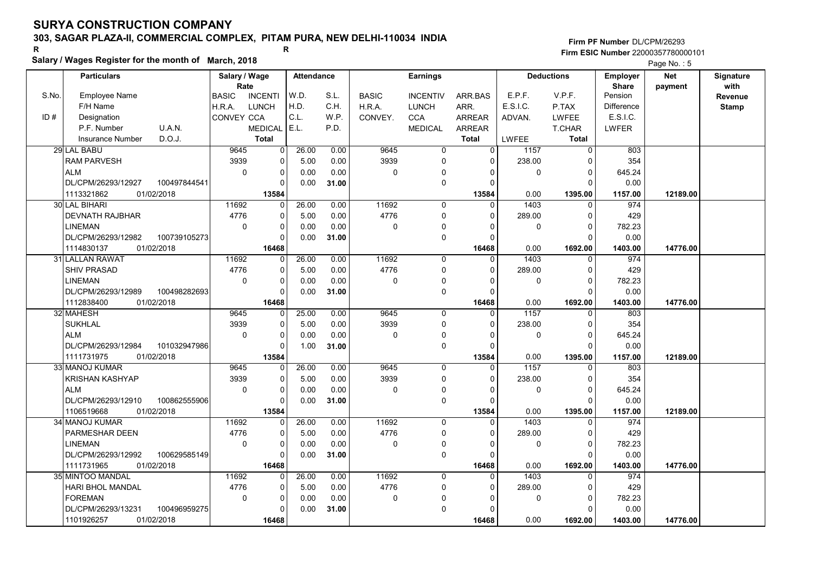# 303, SAGAR PLAZA-II, COMMERCIAL COMPLEX, PITAM PURA, NEW DELHI-110034 INDIA

Salary / Wages Register for the month of March, 2018

#### Firm PF Number DL/CPM/26293 Firm ESIC Number <sup>22000357780000101</sup> R R

Page No.: 5

|       | <b>Particulars</b>       |              | Salary / Wage     |                | <b>Attendance</b> |       |              | <b>Earnings</b> |                |             | <b>Deductions</b> | <b>Employer</b>         | <b>Net</b> | Signature    |
|-------|--------------------------|--------------|-------------------|----------------|-------------------|-------|--------------|-----------------|----------------|-------------|-------------------|-------------------------|------------|--------------|
| S.No. | <b>Employee Name</b>     |              | Rate              | <b>INCENTI</b> | W.D.              | S.L.  | <b>BASIC</b> |                 |                | E.P.F.      | V.P.F.            | <b>Share</b><br>Pension | payment    | with         |
|       | F/H Name                 |              | <b>BASIC</b>      |                | H.D.              | C.H.  |              | <b>INCENTIV</b> | ARR.BAS        | E.S.I.C.    |                   | <b>Difference</b>       |            | Revenue      |
|       |                          |              | H.R.A.            | <b>LUNCH</b>   | C.L.              |       | H.R.A.       | <b>LUNCH</b>    | ARR.           |             | P.TAX             |                         |            | <b>Stamp</b> |
| ID#   | Designation              |              | <b>CONVEY CCA</b> |                | E.L.              | W.P.  | CONVEY.      | <b>CCA</b>      | <b>ARREAR</b>  | ADVAN.      | <b>LWFEE</b>      | E.S.I.C.                |            |              |
|       | P.F. Number              | U.A.N.       |                   | <b>MEDICAL</b> |                   | P.D.  |              | <b>MEDICAL</b>  | ARREAR         |             | T.CHAR            | LWFER                   |            |              |
|       | <b>Insurance Number</b>  | D.O.J.       |                   | <b>Total</b>   |                   |       |              |                 | <b>Total</b>   | LWFEE       | <b>Total</b>      |                         |            |              |
|       | 29 LAL BABU              |              | 9645              | $\overline{0}$ | 26.00             | 0.00  | 9645         | 0               | $\overline{0}$ | 1157        | 0                 | 803                     |            |              |
|       | <b>RAM PARVESH</b>       |              | 3939              | 0              | 5.00              | 0.00  | 3939         | $\Omega$        | 0              | 238.00      | $\mathbf 0$       | 354                     |            |              |
|       | <b>ALM</b>               |              | $\mathbf 0$       | $\pmb{0}$      | 0.00              | 0.00  | 0            | $\Omega$        | $\Omega$       | 0           | $\mathbf 0$       | 645.24                  |            |              |
|       | DL/CPM/26293/12927       | 100497844541 |                   | $\Omega$       | 0.00              | 31.00 |              | $\mathbf 0$     | $\Omega$       |             | $\Omega$          | 0.00                    |            |              |
|       | 01/02/2018<br>1113321862 |              |                   | 13584          |                   |       |              |                 | 13584          | 0.00        | 1395.00           | 1157.00                 | 12189.00   |              |
|       | 30 LAL BIHARI            |              | 11692             | $\mathbf 0$    | 26.00             | 0.00  | 11692        | $\mathbf 0$     | $\Omega$       | 1403        | $\mathbf 0$       | 974                     |            |              |
|       | <b>DEVNATH RAJBHAR</b>   |              | 4776              | 0              | 5.00              | 0.00  | 4776         | $\mathbf 0$     | $\Omega$       | 289.00      | $\mathbf 0$       | 429                     |            |              |
|       | <b>LINEMAN</b>           |              | $\mathbf 0$       | $\mathbf 0$    | 0.00              | 0.00  | 0            | $\mathbf 0$     | $\Omega$       | $\mathbf 0$ | $\mathbf 0$       | 782.23                  |            |              |
|       | DL/CPM/26293/12982       | 100739105273 |                   | $\Omega$       | 0.00              | 31.00 |              | $\mathbf 0$     | $\Omega$       |             | $\Omega$          | 0.00                    |            |              |
|       | 1114830137<br>01/02/2018 |              |                   | 16468          |                   |       |              |                 | 16468          | 0.00        | 1692.00           | 1403.00                 | 14776.00   |              |
|       | 31 LALLAN RAWAT          |              | 11692             | $\mathbf 0$    | 26.00             | 0.00  | 11692        | $\mathbf 0$     | $\Omega$       | 1403        | $\mathbf 0$       | 974                     |            |              |
|       | <b>SHIV PRASAD</b>       |              | 4776              | $\mathbf 0$    | 5.00              | 0.00  | 4776         | $\mathbf 0$     | $\Omega$       | 289.00      | $\mathbf 0$       | 429                     |            |              |
|       | <b>LINEMAN</b>           |              | $\Omega$          | $\pmb{0}$      | 0.00              | 0.00  | 0            | $\Omega$        | $\Omega$       | $\Omega$    | $\Omega$          | 782.23                  |            |              |
|       | DL/CPM/26293/12989       | 100498282693 |                   | $\mathbf 0$    | 0.00              | 31.00 |              | $\mathbf 0$     | $\Omega$       |             | $\Omega$          | 0.00                    |            |              |
|       | 1112838400<br>01/02/2018 |              |                   | 16468          |                   |       |              |                 | 16468          | 0.00        | 1692.00           | 1403.00                 | 14776.00   |              |
|       | 32 MAHESH                |              | 9645              | 0              | 25.00             | 0.00  | 9645         | $\mathbf 0$     | $\Omega$       | 1157        | $\mathbf 0$       | 803                     |            |              |
|       | <b>SUKHLAL</b>           |              | 3939              | $\pmb{0}$      | 5.00              | 0.00  | 3939         | $\mathbf 0$     | $\Omega$       | 238.00      | $\mathbf 0$       | 354                     |            |              |
|       | <b>ALM</b>               |              | $\Omega$          | $\mathbf 0$    | 0.00              | 0.00  | 0            | 0               | $\Omega$       | $\mathbf 0$ | $\mathbf 0$       | 645.24                  |            |              |
|       | DL/CPM/26293/12984       | 101032947986 |                   | $\mathbf 0$    | 1.00              | 31.00 |              | $\Omega$        | $\Omega$       |             | $\Omega$          | 0.00                    |            |              |
|       | 01/02/2018<br>1111731975 |              |                   | 13584          |                   |       |              |                 | 13584          | 0.00        | 1395.00           | 1157.00                 | 12189.00   |              |
|       | 33 MANOJ KUMAR           |              | 9645              | 0              | 26.00             | 0.00  | 9645         | $\mathbf 0$     | $\Omega$       | 1157        | 0                 | 803                     |            |              |
|       | KRISHAN KASHYAP          |              | 3939              | $\mathbf 0$    | 5.00              | 0.00  | 3939         | $\Omega$        | $\Omega$       | 238.00      | $\Omega$          | 354                     |            |              |
|       | <b>ALM</b>               |              | $\mathbf 0$       | $\mathbf 0$    | 0.00              | 0.00  | 0            | $\mathbf 0$     | $\Omega$       | $\mathbf 0$ | $\mathbf 0$       | 645.24                  |            |              |
|       | DL/CPM/26293/12910       | 100862555906 |                   | $\mathbf 0$    | 0.00              | 31.00 |              | $\mathbf 0$     | $\Omega$       |             | $\Omega$          | 0.00                    |            |              |
|       | 1106519668<br>01/02/2018 |              |                   | 13584          |                   |       |              |                 | 13584          | 0.00        | 1395.00           | 1157.00                 | 12189.00   |              |
|       | 34 MANOJ KUMAR           |              | 11692             | $\Omega$       | 26.00             | 0.00  | 11692        | $\Omega$        | $\Omega$       | 1403        | $\mathbf{0}$      | 974                     |            |              |
|       | PARMESHAR DEEN           |              | 4776              | $\mathbf 0$    | 5.00              | 0.00  | 4776         | $\mathbf 0$     | $\Omega$       | 289.00      | $\mathbf 0$       | 429                     |            |              |
|       | <b>LINEMAN</b>           |              | $\Omega$          | 0              | 0.00              | 0.00  | 0            | $\Omega$        | $\Omega$       | $\mathbf 0$ | $\mathbf 0$       | 782.23                  |            |              |
|       | DL/CPM/26293/12992       | 100629585149 |                   | $\Omega$       | 0.00              | 31.00 |              | $\mathbf 0$     | $\Omega$       |             | $\Omega$          | 0.00                    |            |              |
|       | 01/02/2018<br>1111731965 |              |                   | 16468          |                   |       |              |                 | 16468          | 0.00        | 1692.00           | 1403.00                 | 14776.00   |              |
|       | 35 MINTOO MANDAL         |              | 11692             | $\Omega$       | 26.00             | 0.00  | 11692        | $\mathbf 0$     | $\Omega$       | 1403        | $\mathbf{0}$      | 974                     |            |              |
|       | HARI BHOL MANDAL         |              | 4776              | 0              | 5.00              | 0.00  | 4776         | $\Omega$        | $\Omega$       | 289.00      | $\mathbf 0$       | 429                     |            |              |
|       | <b>FOREMAN</b>           |              | $\mathbf 0$       | $\pmb{0}$      | 0.00              | 0.00  | 0            | 0               | 0              | 0           | $\mathbf 0$       | 782.23                  |            |              |
|       | DL/CPM/26293/13231       | 100496959275 |                   | $\Omega$       | 0.00              | 31.00 |              | $\Omega$        | $\Omega$       |             | $\Omega$          | 0.00                    |            |              |
|       | 1101926257<br>01/02/2018 |              |                   | 16468          |                   |       |              |                 | 16468          | 0.00        | 1692.00           | 1403.00                 | 14776.00   |              |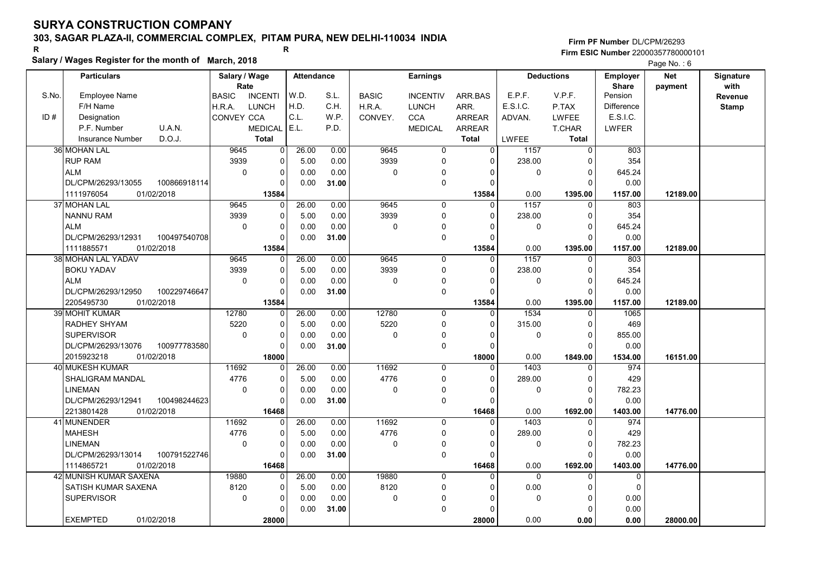# 303, SAGAR PLAZA-II, COMMERCIAL COMPLEX, PITAM PURA, NEW DELHI-110034 INDIA

### Salary / Wages Register for the month of March, 2018

|       | Salary / wages Register for the month of March, 2018 |                                |                   |       |              |                 |                |              |                   |                   | Page No.: 6 |              |
|-------|------------------------------------------------------|--------------------------------|-------------------|-------|--------------|-----------------|----------------|--------------|-------------------|-------------------|-------------|--------------|
|       | <b>Particulars</b>                                   | Salary / Wage                  | <b>Attendance</b> |       |              | <b>Earnings</b> |                |              | <b>Deductions</b> | <b>Employer</b>   | <b>Net</b>  | Signature    |
|       |                                                      | Rate                           |                   |       |              |                 |                |              |                   | <b>Share</b>      | payment     | with         |
| S.No. | <b>Employee Name</b>                                 | <b>BASIC</b><br><b>INCENTI</b> | W.D.              | S.L.  | <b>BASIC</b> | <b>INCENTIV</b> | ARR.BAS        | E.P.F.       | V.P.F.            | Pension           |             | Revenue      |
|       | F/H Name                                             | <b>LUNCH</b><br>H.R.A.         | H.D.              | C.H.  | H.R.A.       | <b>LUNCH</b>    | ARR.           | E.S.I.C.     | P.TAX             | <b>Difference</b> |             | <b>Stamp</b> |
| ID#   | Designation                                          | <b>CONVEY CCA</b>              | C.L.              | W.P.  | CONVEY.      | <b>CCA</b>      | <b>ARREAR</b>  | ADVAN.       | <b>LWFEE</b>      | E.S.I.C.          |             |              |
|       | U.A.N.<br>P.F. Number                                | <b>MEDICAL</b>                 | E.L.              | P.D.  |              | <b>MEDICAL</b>  | <b>ARREAR</b>  |              | <b>T.CHAR</b>     | <b>LWFER</b>      |             |              |
|       | D.O.J.<br><b>Insurance Number</b>                    | <b>Total</b>                   |                   |       |              |                 | <b>Total</b>   | <b>LWFEE</b> | <b>Total</b>      |                   |             |              |
|       | <b>36 MOHAN LAL</b>                                  | 9645<br>0                      | 26.00             | 0.00  | 9645         | $\overline{0}$  | $\Omega$       | 1157         | $\overline{0}$    | 803               |             |              |
|       | <b>RUP RAM</b>                                       | 3939<br>$\Omega$               | 5.00              | 0.00  | 3939         | 0               | $\Omega$       | 238.00       | $\Omega$          | 354               |             |              |
|       | <b>ALM</b>                                           | $\mathbf 0$<br>0               | 0.00              | 0.00  | $\mathbf 0$  | 0               | 0              | 0            | $\mathbf 0$       | 645.24            |             |              |
|       | DL/CPM/26293/13055<br>100866918114                   | 0                              | 0.00              | 31.00 |              | $\mathbf 0$     | $\Omega$       |              | $\Omega$          | 0.00              |             |              |
|       | 1111976054<br>01/02/2018                             | 13584                          |                   |       |              |                 | 13584          | 0.00         | 1395.00           | 1157.00           | 12189.00    |              |
|       | 37 MOHAN LAL                                         | 9645<br>U                      | 26.00             | 0.00  | 9645         | $\mathbf 0$     | $\Omega$       | 1157         | $\Omega$          | 803               |             |              |
|       | <b>NANNU RAM</b>                                     | 3939<br>0                      | 5.00              | 0.00  | 3939         | 0               | 0              | 238.00       | 0                 | 354               |             |              |
|       | <b>ALM</b>                                           | $\mathbf 0$<br>0               | 0.00              | 0.00  | $\pmb{0}$    | 0               | $\Omega$       | 0            | $\Omega$          | 645.24            |             |              |
|       | DL/CPM/26293/12931<br>100497540708                   |                                | 0.00              | 31.00 |              | 0               | $\Omega$       |              | $\Omega$          | 0.00              |             |              |
|       | 1111885571<br>01/02/2018                             | 13584                          |                   |       |              |                 | 13584          | 0.00         | 1395.00           | 1157.00           | 12189.00    |              |
|       | 38 MOHAN LAL YADAV                                   | 9645<br>$\Omega$               | 26.00             | 0.00  | 9645         | 0               | 0              | 1157         | 0                 | 803               |             |              |
|       | <b>BOKU YADAV</b>                                    | 3939<br>0                      | 5.00              | 0.00  | 3939         | 0               | $\Omega$       | 238.00       | $\mathbf 0$       | 354               |             |              |
|       | <b>ALM</b>                                           | $\Omega$<br>$\Omega$           | 0.00              | 0.00  | $\mathbf{0}$ | 0               | $\Omega$       | 0            | $\Omega$          | 645.24            |             |              |
|       | 100229746647<br>DL/CPM/26293/12950                   | $\Omega$                       | 0.00              | 31.00 |              | 0               | $\Omega$       |              | $\Omega$          | 0.00              |             |              |
|       | 2205495730<br>01/02/2018                             | 13584                          |                   |       |              |                 | 13584          | 0.00         | 1395.00           | 1157.00           | 12189.00    |              |
|       | <b>39 MOHIT KUMAR</b>                                | 12780<br>0                     | 26.00             | 0.00  | 12780        | $\overline{0}$  | $\overline{0}$ | 1534         | $\Omega$          | 1065              |             |              |
|       | RADHEY SHYAM                                         | 5220<br>0                      | 5.00              | 0.00  | 5220         | 0               | $\Omega$       | 315.00       | $\Omega$          | 469               |             |              |
|       | <b>SUPERVISOR</b>                                    | $\mathbf 0$<br>0               | 0.00              | 0.00  | $\mathbf 0$  | 0               | $\Omega$       | $\mathbf 0$  | $\mathbf 0$       | 855.00            |             |              |
|       | DL/CPM/26293/13076<br>100977783580                   | $\Omega$                       | 0.00              | 31.00 |              | $\Omega$        | $\Omega$       |              | $\Omega$          | 0.00              |             |              |
|       | 2015923218<br>01/02/2018                             | 18000                          |                   |       |              |                 | 18000          | 0.00         | 1849.00           | 1534.00           | 16151.00    |              |
|       | 40 MUKESH KUMAR                                      | 11692<br>0                     | 26.00             | 0.00  | 11692        | $\mathbf 0$     | $\Omega$       | 1403         | 0                 | 974               |             |              |
|       | <b>SHALIGRAM MANDAL</b>                              | 4776<br>0                      | 5.00              | 0.00  | 4776         | 0               | $\Omega$       | 289.00       | $\mathbf 0$       | 429               |             |              |
|       | <b>LINEMAN</b>                                       | $\Omega$<br>0                  | 0.00              | 0.00  | $\pmb{0}$    | 0               | $\Omega$       | $\mathbf{0}$ | $\Omega$          | 782.23            |             |              |
|       | DL/CPM/26293/12941<br>100498244623                   | 0                              | 0.00              | 31.00 |              | 0               | 0              |              | $\Omega$          | 0.00              |             |              |
|       | 2213801428<br>01/02/2018                             | 16468                          |                   |       |              |                 | 16468          | 0.00         | 1692.00           | 1403.00           | 14776.00    |              |
|       | 41 MUNENDER                                          | 11692<br>$\Omega$              | 26.00             | 0.00  | 11692        | $\mathbf 0$     | $\Omega$       | 1403         | $\mathbf 0$       | 974               |             |              |
|       | <b>MAHESH</b>                                        | 4776<br>$\Omega$               | 5.00              | 0.00  | 4776         | $\Omega$        | $\Omega$       | 289.00       | $\Omega$          | 429               |             |              |
|       | <b>LINEMAN</b>                                       | $\Omega$<br>$\Omega$           | 0.00              | 0.00  | $\mathbf 0$  | 0               | $\Omega$       | 0            | $\Omega$          | 782.23            |             |              |
|       | DL/CPM/26293/13014<br>100791522746                   | $\Omega$                       | 0.00              | 31.00 |              | 0               | $\Omega$       |              | $\Omega$          | 0.00              |             |              |
|       | 1114865721<br>01/02/2018                             | 16468                          |                   |       |              |                 | 16468          | 0.00         | 1692.00           | 1403.00           | 14776.00    |              |
|       | 42 MUNISH KUMAR SAXENA                               | 19880<br>0                     | 26.00             | 0.00  | 19880        | $\Omega$        | $\Omega$       | $\Omega$     | $\Omega$          | $\mathbf 0$       |             |              |
|       | SATISH KUMAR SAXENA                                  | 8120<br>0                      | 5.00              | 0.00  | 8120         | 0               | $\Omega$       | 0.00         | $\Omega$          | $\mathbf 0$       |             |              |
|       | <b>SUPERVISOR</b>                                    | $\mathbf 0$<br>0               | 0.00              | 0.00  | $\mathbf 0$  | 0               | $\Omega$       | 0            | 0                 | 0.00              |             |              |
|       |                                                      | 0                              | 0.00              | 31.00 |              | $\Omega$        | ŋ              |              | $\Omega$          | 0.00              |             |              |
|       | <b>EXEMPTED</b><br>01/02/2018                        | 28000                          |                   |       |              |                 | 28000          | 0.00         | 0.00              | 0.00              | 28000.00    |              |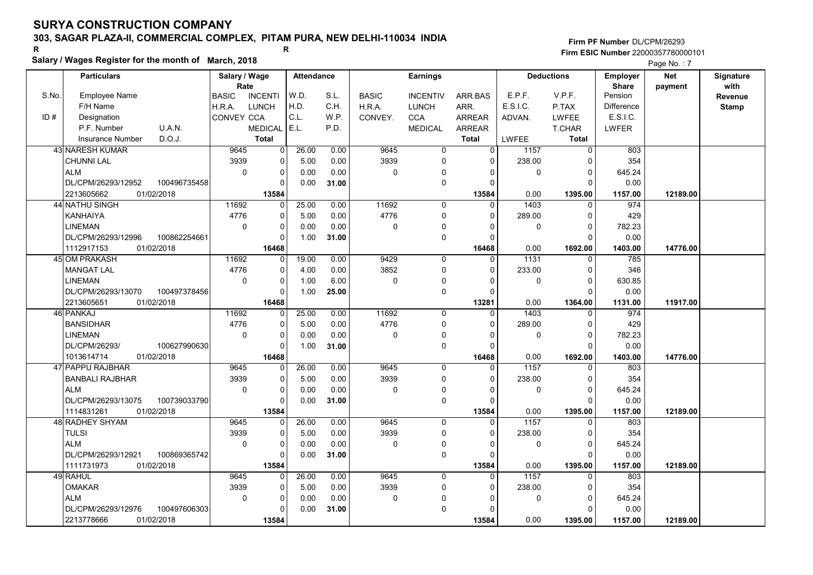# 303, SAGAR PLAZA-II, COMMERCIAL COMPLEX, PITAM PURA, NEW DELHI-110034 INDIA

Salary / Wages Register for the month of March, 2018

#### Firm PF Number DL/CPM/26293 Firm ESIC Number <sup>22000357780000101</sup> R R

Page No. : 7

|       | <b>Particulars</b>       |              | Salary / Wage |                | <b>Attendance</b> |       |              | <b>Earnings</b> |                |              | <b>Deductions</b> | <b>Employer</b>         | <b>Net</b> | Signature    |
|-------|--------------------------|--------------|---------------|----------------|-------------------|-------|--------------|-----------------|----------------|--------------|-------------------|-------------------------|------------|--------------|
| S.No. |                          |              | Rate          |                | W.D.              | S.L.  |              |                 |                | E.P.F.       | V.P.F.            | <b>Share</b><br>Pension | payment    | with         |
|       | <b>Employee Name</b>     |              | <b>BASIC</b>  | <b>INCENTI</b> |                   |       | <b>BASIC</b> | <b>INCENTIV</b> | ARR.BAS        |              |                   | Difference              |            | Revenue      |
| ID#   | F/H Name                 |              | H.R.A.        | <b>LUNCH</b>   | H.D.<br>C.L.      | C.H.  | H.R.A.       | <b>LUNCH</b>    | ARR.           | E.S.I.C.     | P.TAX             | E.S.I.C.                |            | <b>Stamp</b> |
|       | Designation              | U.A.N.       | CONVEY CCA    |                |                   | W.P.  | CONVEY.      | <b>CCA</b>      | <b>ARREAR</b>  | ADVAN.       | <b>LWFEE</b>      |                         |            |              |
|       | P.F. Number              |              |               | <b>MEDICAL</b> | E.L.              | P.D.  |              | <b>MEDICAL</b>  | <b>ARREAR</b>  |              | <b>T.CHAR</b>     | <b>LWFER</b>            |            |              |
|       | Insurance Number         | D.O.J.       |               | <b>Total</b>   |                   |       |              |                 | <b>Total</b>   | <b>LWFEE</b> | <b>Total</b>      |                         |            |              |
|       | <b>43 NARESH KUMAR</b>   |              | 9645          | 0              | 26.00             | 0.00  | 9645         | 0               | $\overline{0}$ | 1157         | 0                 | 803                     |            |              |
|       | <b>CHUNNI LAL</b>        |              | 3939          | $\mathbf 0$    | 5.00              | 0.00  | 3939         | $\mathbf 0$     | 0              | 238.00       | $\Omega$          | 354                     |            |              |
|       | <b>ALM</b>               |              | $\mathbf 0$   | $\mathbf 0$    | 0.00              | 0.00  | 0            | 0               |                | 0            | $\Omega$          | 645.24                  |            |              |
|       | DL/CPM/26293/12952       | 100496735458 |               | $\Omega$       | 0.00              | 31.00 |              | $\mathbf 0$     | $\Omega$       |              | $\Omega$          | 0.00                    |            |              |
|       | 2213605662<br>01/02/2018 |              |               | 13584          |                   |       |              |                 | 13584          | 0.00         | 1395.00           | 1157.00                 | 12189.00   |              |
|       | 44 NATHU SINGH           |              | 11692         | $\Omega$       | 25.00             | 0.00  | 11692        | $\mathbf 0$     | $\Omega$       | 1403         | 0                 | 974                     |            |              |
|       | <b>KANHAIYA</b>          |              | 4776          | $\mathbf 0$    | 5.00              | 0.00  | 4776         | $\mathbf 0$     | $\Omega$       | 289.00       | $\Omega$          | 429                     |            |              |
|       | <b>LINEMAN</b>           |              | $\mathbf 0$   | $\mathbf 0$    | 0.00              | 0.00  | 0            | 0               | $\Omega$       | 0            | $\Omega$          | 782.23                  |            |              |
|       | DL/CPM/26293/12996       | 100862254661 |               | $\Omega$       | 1.00              | 31.00 |              | $\mathbf 0$     | $\Omega$       |              | $\Omega$          | 0.00                    |            |              |
|       | 1112917153<br>01/02/2018 |              |               | 16468          |                   |       |              |                 | 16468          | 0.00         | 1692.00           | 1403.00                 | 14776.00   |              |
|       | 45 OM PRAKASH            |              | 11692         | $\Omega$       | 19.00             | 0.00  | 9429         | $\mathbf 0$     | $\Omega$       | 1131         | $\Omega$          | 785                     |            |              |
|       | <b>MANGAT LAL</b>        |              | 4776          | $\Omega$       | 4.00              | 0.00  | 3852         | $\mathbf 0$     | $\Omega$       | 233.00       | $\mathbf 0$       | 346                     |            |              |
|       | <b>LINEMAN</b>           |              | 0             | $\mathbf 0$    | 1.00              | 6.00  | 0            | 0               | $\Omega$       | 0            | $\overline{0}$    | 630.85                  |            |              |
|       | DL/CPM/26293/13070       | 100497378456 |               | $\Omega$       | 1.00              | 25.00 |              | $\mathbf 0$     | $\Omega$       |              | $\Omega$          | 0.00                    |            |              |
|       | 2213605651<br>01/02/2018 |              |               | 16468          |                   |       |              |                 | 13281          | 0.00         | 1364.00           | 1131.00                 | 11917.00   |              |
|       | 46 PANKAJ                |              | 11692         | 0              | 25.00             | 0.00  | 11692        | $\mathbf 0$     | $\Omega$       | 1403         | $\mathbf{0}$      | 974                     |            |              |
|       | <b>BANSIDHAR</b>         |              | 4776          | $\mathbf{0}$   | 5.00              | 0.00  | 4776         | $\mathbf 0$     | $\Omega$       | 289.00       | $\Omega$          | 429                     |            |              |
|       | LINEMAN                  |              | $\mathbf 0$   | $\mathbf 0$    | 0.00              | 0.00  | 0            | $\mathbf 0$     | $\Omega$       | 0            | $\overline{0}$    | 782.23                  |            |              |
|       | DL/CPM/26293/            | 100627990630 |               | $\Omega$       | 1.00              | 31.00 |              | $\mathbf 0$     | $\Omega$       |              | $\Omega$          | 0.00                    |            |              |
|       | 01/02/2018<br>1013614714 |              |               | 16468          |                   |       |              |                 | 16468          | 0.00         | 1692.00           | 1403.00                 | 14776.00   |              |
|       | 47 PAPPU RAJBHAR         |              | 9645          | 0              | 26.00             | 0.00  | 9645         | $\Omega$        | $\Omega$       | 1157         | $\Omega$          | 803                     |            |              |
|       | <b>BANBALI RAJBHAR</b>   |              | 3939          | $\Omega$       | 5.00              | 0.00  | 3939         | $\mathbf 0$     | $\Omega$       | 238.00       | $\Omega$          | 354                     |            |              |
|       | <b>ALM</b>               |              | 0             | $\mathbf 0$    | 0.00              | 0.00  | 0            | $\mathbf 0$     | $\Omega$       | 0            | $\mathbf 0$       | 645.24                  |            |              |
|       | DL/CPM/26293/13075       | 100739033790 |               | $\Omega$       | 0.00              | 31.00 |              | $\mathbf 0$     | $\Omega$       |              | $\Omega$          | 0.00                    |            |              |
|       | 01/02/2018<br>1114831261 |              |               | 13584          |                   |       |              |                 | 13584          | 0.00         | 1395.00           | 1157.00                 | 12189.00   |              |
|       | 48 RADHEY SHYAM          |              | 9645          | $\Omega$       | 26.00             | 0.00  | 9645         | $\mathbf{0}$    | $\Omega$       | 1157         | $\Omega$          | 803                     |            |              |
|       | <b>TULSI</b>             |              | 3939          | $\mathbf 0$    | 5.00              | 0.00  | 3939         | 0               | $\Omega$       | 238.00       | $\mathbf 0$       | 354                     |            |              |
|       | <b>ALM</b>               |              | $\mathbf 0$   | $\Omega$       | 0.00              | 0.00  | 0            | 0               | $\Omega$       | $\Omega$     | $\Omega$          | 645.24                  |            |              |
|       | DL/CPM/26293/12921       | 100869365742 |               | $\Omega$       | 0.00              | 31.00 |              | $\mathbf 0$     | $\Omega$       |              | $\Omega$          | 0.00                    |            |              |
|       | 01/02/2018<br>1111731973 |              |               | 13584          |                   |       |              |                 | 13584          | 0.00         | 1395.00           | 1157.00                 | 12189.00   |              |
|       | 49 RAHUL                 |              | 9645          | $\Omega$       | 26.00             | 0.00  | 9645         | $\mathbf 0$     | $\Omega$       | 1157         | $\mathbf{0}$      | 803                     |            |              |
|       | <b>OMAKAR</b>            |              | 3939          | $\Omega$       | 5.00              | 0.00  | 3939         | $\mathbf 0$     | 0              | 238.00       | 0                 | 354                     |            |              |
|       | <b>ALM</b>               |              | $\mathbf 0$   | $\mathbf 0$    | 0.00              | 0.00  | 0            | 0               | $\Omega$       | 0            | $\overline{0}$    | 645.24                  |            |              |
|       | DL/CPM/26293/12976       | 100497606303 |               | $\Omega$       | 0.00              | 31.00 |              | $\mathbf 0$     | $\Omega$       |              | $\Omega$          | 0.00                    |            |              |
|       | 2213778666<br>01/02/2018 |              |               | 13584          |                   |       |              |                 | 13584          | 0.00         | 1395.00           | 1157.00                 | 12189.00   |              |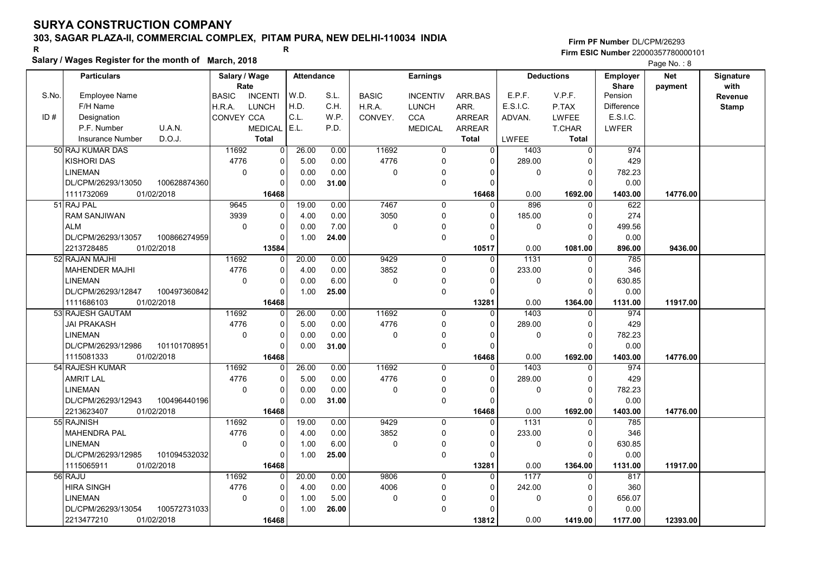# 303, SAGAR PLAZA-II, COMMERCIAL COMPLEX, PITAM PURA, NEW DELHI-110034 INDIA

#### Salary / Wages Register for the month of March, 2018

|       | Salary / wages Register for the month of March, 2018 |                                |                |                   |       |              |                     |               |              |                   |                   | Page No.: 8 |                  |
|-------|------------------------------------------------------|--------------------------------|----------------|-------------------|-------|--------------|---------------------|---------------|--------------|-------------------|-------------------|-------------|------------------|
|       | <b>Particulars</b>                                   | Salary / Wage                  |                | <b>Attendance</b> |       |              | <b>Earnings</b>     |               |              | <b>Deductions</b> | <b>Employer</b>   | <b>Net</b>  | <b>Signature</b> |
|       |                                                      | Rate                           |                |                   |       |              |                     |               |              |                   | <b>Share</b>      | payment     | with             |
| S.No. | <b>Employee Name</b>                                 | <b>BASIC</b><br><b>INCENTI</b> |                | W.D.              | S.L.  | <b>BASIC</b> | <b>INCENTIV</b>     | ARR.BAS       | E.P.F.       | V.P.F.            | Pension           |             | Revenue          |
|       | F/H Name                                             | LUNCH<br>H.R.A.                |                | H.D.              | C.H.  | H.R.A.       | <b>LUNCH</b>        | ARR.          | E.S.I.C.     | P.TAX             | <b>Difference</b> |             | <b>Stamp</b>     |
| ID#   | Designation                                          | CONVEY CCA                     |                | C.L.              | W.P.  | CONVEY.      | <b>CCA</b>          | <b>ARREAR</b> | ADVAN.       | <b>LWFEE</b>      | E.S.I.C.          |             |                  |
|       | U.A.N.<br>P.F. Number                                | <b>MEDICAL</b>                 |                | E.L.              | P.D.  |              | <b>MEDICAL</b>      | <b>ARREAR</b> |              | T.CHAR            | <b>LWFER</b>      |             |                  |
|       | D.O.J.<br>Insurance Number                           | <b>Total</b>                   |                |                   |       |              |                     | <b>Total</b>  | <b>LWFEE</b> | <b>Total</b>      |                   |             |                  |
|       | 50 RAJ KUMAR DAS                                     | 11692                          | $\overline{0}$ | 26.00             | 0.00  | 11692        | $\overline{0}$      | $\Omega$      | 1403         | $\overline{0}$    | 974               |             |                  |
|       | <b>KISHORI DAS</b>                                   | 4776                           | 0              | 5.00              | 0.00  | 4776         | $\mathbf 0$         | $\Omega$      | 289.00       | $\Omega$          | 429               |             |                  |
|       | <b>LINEMAN</b>                                       | $\mathbf 0$                    | 0              | 0.00              | 0.00  | 0            | 0                   | 0             | 0            | 0                 | 782.23            |             |                  |
|       | 100628874360<br>DL/CPM/26293/13050                   |                                | 0              | 0.00              | 31.00 |              | $\mathbf 0$         | $\Omega$      |              | $\Omega$          | 0.00              |             |                  |
|       | 1111732069<br>01/02/2018                             |                                | 16468          |                   |       |              |                     | 16468         | 0.00         | 1692.00           | 1403.00           | 14776.00    |                  |
|       | 51 RAJ PAL                                           | 9645                           | 0              | 19.00             | 0.00  | 7467         | 0                   | $\Omega$      | 896          | $\Omega$          | 622               |             |                  |
|       | <b>RAM SANJIWAN</b>                                  | 3939                           | 0              | 4.00              | 0.00  | 3050         | $\mathbf 0$         | $\Omega$      | 185.00       | 0                 | 274               |             |                  |
|       | <b>ALM</b>                                           | $\Omega$                       | 0              | 0.00              | 7.00  | 0            | 0                   |               | 0            | $\Omega$          | 499.56            |             |                  |
|       | DL/CPM/26293/13057<br>100866274959                   |                                | 0              | 1.00              | 24.00 |              | $\mathsf{O}\xspace$ |               |              | $\Omega$          | 0.00              |             |                  |
|       | 2213728485<br>01/02/2018                             | 13584                          |                |                   |       |              |                     | 10517         | 0.00         | 1081.00           | 896.00            | 9436.00     |                  |
|       | 52 RAJAN MAJHI                                       | 11692                          | $\Omega$       | 20.00             | 0.00  | 9429         | $\mathbf 0$         | $\Omega$      | 1131         | $\Omega$          | 785               |             |                  |
|       | <b>MAHENDER MAJHI</b>                                | 4776                           | 0              | 4.00              | 0.00  | 3852         | $\mathbf 0$         | $\Omega$      | 233.00       | $\Omega$          | 346               |             |                  |
|       | <b>LINEMAN</b>                                       | $\mathbf 0$                    | 0              | 0.00              | 6.00  | 0            | 0                   | <sup>0</sup>  | $\mathbf 0$  | $\Omega$          | 630.85            |             |                  |
|       | DL/CPM/26293/12847<br>100497360842                   |                                | 0              | 1.00              | 25.00 |              | $\mathbf 0$         | $\Omega$      |              | $\Omega$          | 0.00              |             |                  |
|       | 1111686103<br>01/02/2018                             |                                | 16468          |                   |       |              |                     | 13281         | 0.00         | 1364.00           | 1131.00           | 11917.00    |                  |
|       | 53 RAJESH GAUTAM                                     | 11692                          | 0              | 26.00             | 0.00  | 11692        | $\mathbf 0$         | $\Omega$      | 1403         | $\Omega$          | 974               |             |                  |
|       | JAI PRAKASH                                          | 4776                           | 0              | 5.00              | 0.00  | 4776         | 0                   | $\Omega$      | 289.00       | $\Omega$          | 429               |             |                  |
|       | <b>LINEMAN</b>                                       | $\mathbf 0$                    | 0              | 0.00              | 0.00  | 0            | 0                   | $\Omega$      | $\mathbf 0$  | 0                 | 782.23            |             |                  |
|       | DL/CPM/26293/12986<br>101101708951                   |                                | 0              | 0.00              | 31.00 |              | $\mathsf{O}\xspace$ | $\Omega$      |              | $\Omega$          | 0.00              |             |                  |
|       | 1115081333<br>01/02/2018                             | 16468                          |                |                   |       |              |                     | 16468         | 0.00         | 1692.00           | 1403.00           | 14776.00    |                  |
|       | 54 RAJESH KUMAR                                      | 11692                          | $\Omega$       | 26.00             | 0.00  | 11692        | $\mathbf 0$         | $\Omega$      | 1403         | $\Omega$          | 974               |             |                  |
|       | <b>AMRIT LAL</b>                                     | 4776                           | 0              | 5.00              | 0.00  | 4776         | $\mathbf 0$         | $\Omega$      | 289.00       | $\Omega$          | 429               |             |                  |
|       | <b>LINEMAN</b>                                       | $\mathbf 0$                    | 0              | 0.00              | 0.00  | 0            | $\pmb{0}$           |               | $\mathbf 0$  | $\Omega$          | 782.23            |             |                  |
|       | DL/CPM/26293/12943<br>100496440196                   |                                | $\Omega$       | 0.00              | 31.00 |              | $\mathbf 0$         |               |              | $\Omega$          | 0.00              |             |                  |
|       | 2213623407<br>01/02/2018                             | 16468                          |                |                   |       |              |                     | 16468         | 0.00         | 1692.00           | 1403.00           | 14776.00    |                  |
|       | 55 RAJNISH                                           | 11692                          | 0              | 19.00             | 0.00  | 9429         | $\mathbf 0$         | $\Omega$      | 1131         | $\Omega$          | 785               |             |                  |
|       | <b>MAHENDRA PAL</b>                                  | 4776                           | 0              | 4.00              | 0.00  | 3852         | 0                   | $\Omega$      | 233.00       | $\Omega$          | 346               |             |                  |
|       | <b>LINEMAN</b>                                       | $\mathbf 0$                    | 0              | 1.00              | 6.00  | 0            | $\mathbf 0$         | $\Omega$      | $\mathbf 0$  | $\Omega$          | 630.85            |             |                  |
|       | DL/CPM/26293/12985<br>101094532032                   |                                | $\Omega$       | 1.00              | 25.00 |              | $\Omega$            | $\Omega$      |              | $\Omega$          | 0.00              |             |                  |
|       | 1115065911<br>01/02/2018                             |                                | 16468          |                   |       |              |                     | 13281         | 0.00         | 1364.00           | 1131.00           | 11917.00    |                  |
|       | 56 RAJU                                              | 11692                          | 0              | 20.00             | 0.00  | 9806         | $\mathbf 0$         | $\Omega$      | 1177         | $\Omega$          | 817               |             |                  |
|       | <b>HIRA SINGH</b>                                    | 4776                           | 0              | 4.00              | 0.00  | 4006         | $\mathbf 0$         | $\Omega$      | 242.00       | $\Omega$          | 360               |             |                  |
|       | <b>LINEMAN</b>                                       | $\pmb{0}$                      | 0              | 1.00              | 5.00  | 0            | 0                   | n             | $\mathbf 0$  | 0                 | 656.07            |             |                  |
|       | DL/CPM/26293/13054<br>100572731033                   |                                | 0              | 1.00              | 26.00 |              | $\pmb{0}$           |               |              | ŋ                 | 0.00              |             |                  |
|       | 2213477210<br>01/02/2018                             |                                | 16468          |                   |       |              |                     | 13812         | 0.00         | 1419.00           | 1177.00           | 12393.00    |                  |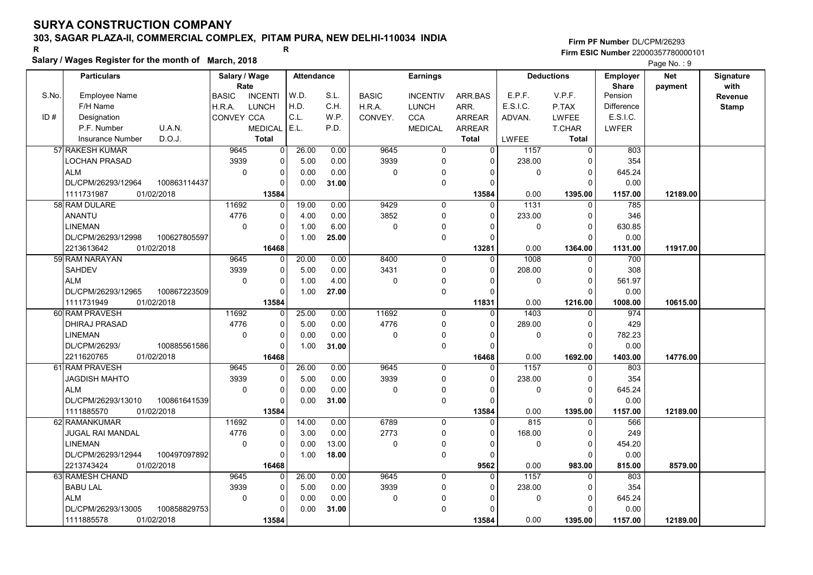# 303, SAGAR PLAZA-II, COMMERCIAL COMPLEX, PITAM PURA, NEW DELHI-110034 INDIA

### Salary / Wages Register for the month of March, 2018

#### Firm PF Number DL/CPM/26293 Firm ESIC Number <sup>22000357780000101</sup> R R

Page No.: 9

|       | <b>Particulars</b>       |              | Salary / Wage |                | Attendance |       |              | <b>Earnings</b> |               |              | <b>Deductions</b> | <b>Employer</b>         | <b>Net</b> | Signature    |
|-------|--------------------------|--------------|---------------|----------------|------------|-------|--------------|-----------------|---------------|--------------|-------------------|-------------------------|------------|--------------|
| S.No. | <b>Employee Name</b>     |              | Rate          | <b>INCENTI</b> | W.D.       | S.L.  |              |                 |               | E.P.F.       | V.P.F.            | <b>Share</b><br>Pension | payment    | with         |
|       |                          |              | <b>BASIC</b>  |                | H.D.       | C.H.  | <b>BASIC</b> | <b>INCENTIV</b> | ARR.BAS       | E.S.I.C.     |                   |                         |            | Revenue      |
|       | F/H Name                 |              | H.R.A.        | LUNCH          | C.L.       |       | H.R.A.       | <b>LUNCH</b>    | ARR.          |              | P.TAX             | Difference<br>E.S.I.C.  |            | <b>Stamp</b> |
| ID#   | Designation              |              | CONVEY CCA    |                | E.L.       | W.P.  | CONVEY.      | <b>CCA</b>      | <b>ARREAR</b> | ADVAN.       | <b>LWFEE</b>      |                         |            |              |
|       | P.F. Number              | U.A.N.       |               | <b>MEDICAL</b> |            | P.D.  |              | <b>MEDICAL</b>  | <b>ARREAR</b> |              | <b>T.CHAR</b>     | <b>LWFER</b>            |            |              |
|       | <b>Insurance Number</b>  | D.O.J.       |               | <b>Total</b>   |            |       |              |                 | <b>Total</b>  | <b>LWFEE</b> | <b>Total</b>      |                         |            |              |
|       | 57 RAKESH KUMAR          |              | 9645          | 0              | 26.00      | 0.00  | 9645         | $\mathbf 0$     | $\Omega$      | 1157         | 0                 | 803                     |            |              |
|       | LOCHAN PRASAD            |              | 3939          | 0              | 5.00       | 0.00  | 3939         | 0               | 0             | 238.00       | 0                 | 354                     |            |              |
|       | <b>ALM</b>               |              | $\Omega$      | 0              | 0.00       | 0.00  | $\mathbf 0$  | $\Omega$        | $\Omega$      | 0            | $\Omega$          | 645.24                  |            |              |
|       | DL/CPM/26293/12964       | 100863114437 |               | $\Omega$       | 0.00       | 31.00 |              | 0               | $\Omega$      |              | $\Omega$          | 0.00                    |            |              |
|       | 1111731987<br>01/02/2018 |              |               | 13584          |            |       |              |                 | 13584         | 0.00         | 1395.00           | 1157.00                 | 12189.00   |              |
|       | 58 RAM DULARE            |              | 11692         | 0              | 19.00      | 0.00  | 9429         | 0               | $\Omega$      | 1131         | 0                 | 785                     |            |              |
|       | <b>ANANTU</b>            |              | 4776          | 0              | 4.00       | 0.00  | 3852         | 0               | $\Omega$      | 233.00       | $\mathbf 0$       | 346                     |            |              |
|       | <b>LINEMAN</b>           |              | $\mathbf 0$   | 0              | 1.00       | 6.00  | 0            | 0               | $\Omega$      | $\mathbf 0$  | $\mathbf 0$       | 630.85                  |            |              |
|       | DL/CPM/26293/12998       | 100627805597 |               | 0              | 1.00       | 25.00 |              | 0               | $\Omega$      |              | $\Omega$          | 0.00                    |            |              |
|       | 2213613642<br>01/02/2018 |              |               | 16468          |            |       |              |                 | 13281         | 0.00         | 1364.00           | 1131.00                 | 11917.00   |              |
|       | 59 RAM NARAYAN           |              | 9645          | $\Omega$       | 20.00      | 0.00  | 8400         | $\Omega$        | $\Omega$      | 1008         | $\Omega$          | 700                     |            |              |
|       | <b>SAHDEV</b>            |              | 3939          | 0              | 5.00       | 0.00  | 3431         | $\Omega$        | $\Omega$      | 208.00       | $\Omega$          | 308                     |            |              |
|       | <b>ALM</b>               |              | $\mathbf 0$   | 0              | 1.00       | 4.00  | $\Omega$     | $\mathbf{0}$    | $\Omega$      | 0            | $\mathbf 0$       | 561.97                  |            |              |
|       | DL/CPM/26293/12965       | 100867223509 |               | 0              | 1.00       | 27.00 |              | 0               | $\Omega$      |              | $\Omega$          | 0.00                    |            |              |
|       | 1111731949<br>01/02/2018 |              |               | 13584          |            |       |              |                 | 11831         | 0.00         | 1216.00           | 1008.00                 | 10615.00   |              |
|       | 60 RAM PRAVESH           |              | 11692         | 0              | 25.00      | 0.00  | 11692        | 0               | $\Omega$      | 1403         | $\mathbf 0$       | 974                     |            |              |
|       | <b>DHIRAJ PRASAD</b>     |              | 4776          | 0              | 5.00       | 0.00  | 4776         | $\Omega$        | $\Omega$      | 289.00       | $\pmb{0}$         | 429                     |            |              |
|       | <b>LINEMAN</b>           |              | $\mathbf 0$   | 0              | 0.00       | 0.00  | 0            | 0               | $\Omega$      | $\mathbf 0$  | $\mathbf 0$       | 782.23                  |            |              |
|       | DL/CPM/26293/            | 100885561586 |               | 0              | 1.00       | 31.00 |              | 0               | $\Omega$      |              | $\Omega$          | 0.00                    |            |              |
|       | 2211620765<br>01/02/2018 |              |               | 16468          |            |       |              |                 | 16468         | 0.00         | 1692.00           | 1403.00                 | 14776.00   |              |
|       | 61 RAM PRAVESH           |              | 9645          | $\Omega$       | 26.00      | 0.00  | 9645         | $\Omega$        | $\Omega$      | 1157         | $\Omega$          | 803                     |            |              |
|       | <b>JAGDISH MAHTO</b>     |              | 3939          | 0              | 5.00       | 0.00  | 3939         | 0               | $\Omega$      | 238.00       | $\Omega$          | 354                     |            |              |
|       | ALM                      |              | $\mathbf 0$   | 0              | 0.00       | 0.00  | 0            | 0               | $\Omega$      | 0            | $\pmb{0}$         | 645.24                  |            |              |
|       | DL/CPM/26293/13010       | 100861641539 |               | $\Omega$       | 0.00       | 31.00 |              | $\pmb{0}$       | $\Omega$      |              | $\Omega$          | 0.00                    |            |              |
|       | 01/02/2018<br>1111885570 |              |               | 13584          |            |       |              |                 | 13584         | 0.00         | 1395.00           | 1157.00                 | 12189.00   |              |
|       | 62 RAMANKUMAR            |              | 11692         | 0              | 14.00      | 0.00  | 6789         | $\Omega$        | $\Omega$      | 815          | $\Omega$          | 566                     |            |              |
|       | JUGAL RAI MANDAL         |              | 4776          | 0              | 3.00       | 0.00  | 2773         | 0               | $\Omega$      | 168.00       | 0                 | 249                     |            |              |
|       | <b>LINEMAN</b>           |              | $\Omega$      | 0              | 0.00       | 13.00 | 0            | $\Omega$        | 0             | $\Omega$     | $\mathbf 0$       | 454.20                  |            |              |
|       | DL/CPM/26293/12944       | 100497097892 |               | $\Omega$       | 1.00       | 18.00 |              | 0               | $\Omega$      |              | $\Omega$          | 0.00                    |            |              |
|       | 2213743424<br>01/02/2018 |              |               | 16468          |            |       |              |                 | 9562          | 0.00         | 983.00            | 815.00                  | 8579.00    |              |
|       | 63 RAMESH CHAND          |              | 9645          | 0              | 26.00      | 0.00  | 9645         | 0               | $\Omega$      | 1157         | 0                 | 803                     |            |              |
|       | <b>BABU LAL</b>          |              | 3939          | 0              | 5.00       | 0.00  | 3939         | 0               | $\Omega$      | 238.00       | $\mathbf 0$       | 354                     |            |              |
|       | <b>ALM</b>               |              | $\mathbf 0$   | 0              | 0.00       | 0.00  | $\mathbf{0}$ | $\Omega$        | O             | $\mathbf 0$  | $\mathbf 0$       | 645.24                  |            |              |
|       | DL/CPM/26293/13005       | 100858829753 |               | $\Omega$       | 0.00       | 31.00 |              | 0               | $\Omega$      |              | $\Omega$          | 0.00                    |            |              |
|       | 01/02/2018<br>1111885578 |              |               | 13584          |            |       |              |                 | 13584         | 0.00         | 1395.00           | 1157.00                 | 12189.00   |              |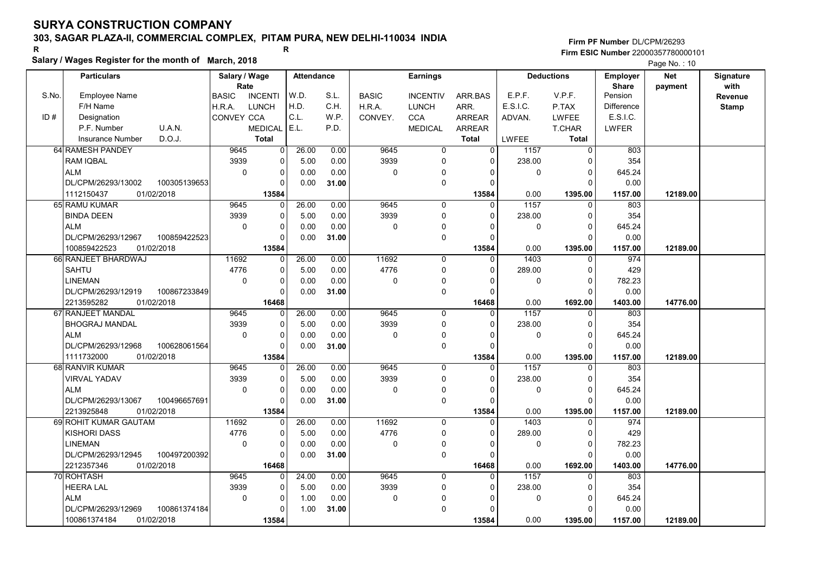# 303, SAGAR PLAZA-II, COMMERCIAL COMPLEX, PITAM PURA, NEW DELHI-110034 INDIA

### Salary / Wages Register for the month of March, 2018

|       | Salary / wages Register for the month of March, 2018 |                                |                |                   |       |              |                 |                |              |                   |                 | Page No.: 10 |              |
|-------|------------------------------------------------------|--------------------------------|----------------|-------------------|-------|--------------|-----------------|----------------|--------------|-------------------|-----------------|--------------|--------------|
|       | <b>Particulars</b>                                   | Salary / Wage                  |                | <b>Attendance</b> |       |              | <b>Earnings</b> |                |              | <b>Deductions</b> | <b>Employer</b> | <b>Net</b>   | Signature    |
|       |                                                      | Rate                           |                |                   |       |              |                 |                |              |                   | Share           | payment      | with         |
| S.No. | <b>Employee Name</b>                                 | <b>BASIC</b><br><b>INCENTI</b> | W.D.           |                   | S.L.  | <b>BASIC</b> | <b>INCENTIV</b> | ARR.BAS        | E.P.F.       | V.P.F.            | Pension         |              | Revenue      |
|       | F/H Name                                             | <b>LUNCH</b><br>H.R.A.         | H.D.           |                   | C.H.  | H.R.A.       | <b>LUNCH</b>    | ARR.           | E.S.I.C.     | P.TAX             | Difference      |              | <b>Stamp</b> |
| ID#   | Designation                                          | <b>CONVEY CCA</b>              | C.L.           |                   | W.P.  | CONVEY.      | <b>CCA</b>      | <b>ARREAR</b>  | ADVAN.       | <b>LWFEE</b>      | E.S.I.C.        |              |              |
|       | U.A.N.<br>P.F. Number                                | <b>MEDICAL</b>                 | E.L.           |                   | P.D.  |              | <b>MEDICAL</b>  | <b>ARREAR</b>  |              | T.CHAR            | <b>LWFER</b>    |              |              |
|       | D.O.J.<br><b>Insurance Number</b>                    | <b>Total</b>                   |                |                   |       |              |                 | <b>Total</b>   | <b>LWFEE</b> | <b>Total</b>      |                 |              |              |
|       | 64 RAMESH PANDEY                                     | 9645                           | $\overline{0}$ | 26.00             | 0.00  | 9645         | $\mathbf 0$     | $\overline{0}$ | 1157         | $\mathbf 0$       | 803             |              |              |
|       | <b>RAM IQBAL</b>                                     | 3939                           | $\Omega$       | 5.00              | 0.00  | 3939         | $\Omega$        | $\Omega$       | 238.00       | $\Omega$          | 354             |              |              |
|       | <b>ALM</b>                                           | $\mathbf 0$                    | 0              | 0.00              | 0.00  | 0            | $\mathbf{0}$    | $\Omega$       | 0            | $\mathbf 0$       | 645.24          |              |              |
|       | DL/CPM/26293/13002<br>100305139653                   |                                | 0              | 0.00              | 31.00 |              | $\mathbf 0$     | $\Omega$       |              | $\Omega$          | 0.00            |              |              |
|       | 1112150437<br>01/02/2018                             | 13584                          |                |                   |       |              |                 | 13584          | 0.00         | 1395.00           | 1157.00         | 12189.00     |              |
|       | 65 RAMU KUMAR                                        | 9645                           | $\Omega$       | 26.00             | 0.00  | 9645         | $\Omega$        | $\Omega$       | 1157         | $\Omega$          | 803             |              |              |
|       | <b>BINDA DEEN</b>                                    | 3939                           | 0              | 5.00              | 0.00  | 3939         | 0               | $\Omega$       | 238.00       | $\mathbf 0$       | 354             |              |              |
|       | <b>ALM</b>                                           | $\mathbf 0$                    | 0              | 0.00              | 0.00  | 0            | 0               | 0              | 0            | $\Omega$          | 645.24          |              |              |
|       | DL/CPM/26293/12967<br>100859422523                   |                                | 0              | 0.00              | 31.00 |              | $\mathbf 0$     | $\Omega$       |              | $\Omega$          | 0.00            |              |              |
|       | 100859422523<br>01/02/2018                           | 13584                          |                |                   |       |              |                 | 13584          | 0.00         | 1395.00           | 1157.00         | 12189.00     |              |
|       | 66 RANJEET BHARDWAJ                                  | 11692                          | 0              | 26.00             | 0.00  | 11692        | 0               | 0              | 1403         | 0                 | 974             |              |              |
|       | <b>SAHTU</b>                                         | 4776                           | 0              | 5.00              | 0.00  | 4776         | $\mathbf 0$     | $\Omega$       | 289.00       | $\mathbf 0$       | 429             |              |              |
|       | <b>LINEMAN</b>                                       | $\Omega$                       | $\Omega$       | 0.00              | 0.00  | 0            | $\mathbf 0$     | O              | 0            | $\Omega$          | 782.23          |              |              |
|       | DL/CPM/26293/12919<br>100867233849                   |                                | $\Omega$       | 0.00              | 31.00 |              | $\mathbf 0$     | 0              |              | $\Omega$          | 0.00            |              |              |
|       | 2213595282<br>01/02/2018                             | 16468                          |                |                   |       |              |                 | 16468          | 0.00         | 1692.00           | 1403.00         | 14776.00     |              |
|       | 67 RANJEET MANDAL                                    | 9645                           | 0              | 26.00             | 0.00  | 9645         | $\Omega$        | $\Omega$       | 1157         | $\Omega$          | 803             |              |              |
|       | <b>BHOGRAJ MANDAL</b>                                | 3939                           | 0              | 5.00              | 0.00  | 3939         | $\mathbf 0$     | $\Omega$       | 238.00       | $\Omega$          | 354             |              |              |
|       | <b>ALM</b>                                           | $\mathbf 0$                    | 0              | 0.00              | 0.00  | 0            | $\Omega$        | $\Omega$       | 0            | $\mathbf 0$       | 645.24          |              |              |
|       | DL/CPM/26293/12968<br>100628061564                   |                                | $\Omega$       | 0.00              | 31.00 |              | $\mathbf 0$     | $\Omega$       |              | $\Omega$          | 0.00            |              |              |
|       | 1111732000<br>01/02/2018                             | 13584                          |                |                   |       |              |                 | 13584          | 0.00         | 1395.00           | 1157.00         | 12189.00     |              |
|       | 68 RANVIR KUMAR                                      | 9645                           | $\Omega$       | 26.00             | 0.00  | 9645         | 0               | 0              | 1157         | $\Omega$          | 803             |              |              |
|       | <b>VIRVAL YADAV</b>                                  | 3939                           | 0              | 5.00              | 0.00  | 3939         | $\mathbf 0$     | $\Omega$       | 238.00       | 0                 | 354             |              |              |
|       | <b>ALM</b>                                           | $\Omega$                       | $\Omega$       | 0.00              | 0.00  | 0            | 0               | $\Omega$       | 0            | $\Omega$          | 645.24          |              |              |
|       | DL/CPM/26293/13067<br>100496657691                   |                                | 0              | 0.00              | 31.00 |              | $\pmb{0}$       | $\Omega$       |              | $\Omega$          | 0.00            |              |              |
|       | 01/02/2018<br>2213925848                             | 13584                          |                |                   |       |              |                 | 13584          | 0.00         | 1395.00           | 1157.00         | 12189.00     |              |
|       | 69 ROHIT KUMAR GAUTAM                                | 11692                          | 0              | 26.00             | 0.00  | 11692        | $\mathbf 0$     | 0              | 1403         | $\mathbf 0$       | 974             |              |              |
|       | <b>KISHORI DASS</b>                                  | 4776                           | 0              | 5.00              | 0.00  | 4776         | 0               | $\Omega$       | 289.00       | $\Omega$          | 429             |              |              |
|       | <b>LINEMAN</b>                                       | $\mathbf 0$                    | 0              | 0.00              | 0.00  | 0            | $\mathbf 0$     | 0              | 0            | $\Omega$          | 782.23          |              |              |
|       | DL/CPM/26293/12945<br>100497200392                   |                                | $\Omega$       | 0.00              | 31.00 |              | $\mathbf 0$     | $\Omega$       |              | $\Omega$          | 0.00            |              |              |
|       | 2212357346<br>01/02/2018                             | 16468                          |                |                   |       |              |                 | 16468          | 0.00         | 1692.00           | 1403.00         | 14776.00     |              |
|       | 70 ROHTASH                                           | 9645                           | $\Omega$       | 24.00             | 0.00  | 9645         | $\Omega$        | $\Omega$       | 1157         | $\Omega$          | 803             |              |              |
|       | <b>HEERA LAL</b>                                     | 3939                           | 0              | 5.00              | 0.00  | 3939         | $\mathbf 0$     | $\Omega$       | 238.00       | $\Omega$          | 354             |              |              |
|       | <b>ALM</b>                                           | $\mathbf 0$                    | 0              | 1.00              | 0.00  | 0            | 0               | 0              | 0            | $\mathbf 0$       | 645.24          |              |              |
|       | DL/CPM/26293/12969<br>100861374184                   |                                | 0              | 1.00              | 31.00 |              | $\Omega$        |                |              | $\Omega$          | 0.00            |              |              |
|       | 100861374184<br>01/02/2018                           | 13584                          |                |                   |       |              |                 | 13584          | 0.00         | 1395.00           | 1157.00         | 12189.00     |              |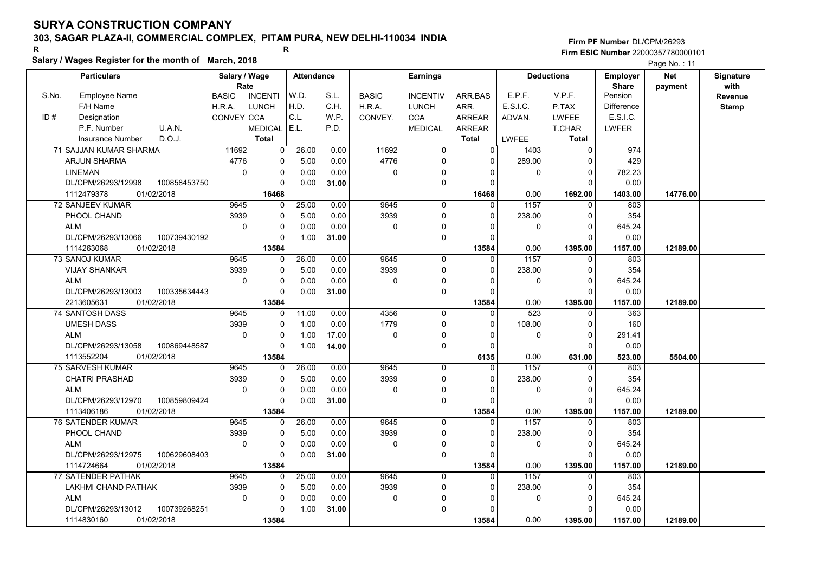# 303, SAGAR PLAZA-II, COMMERCIAL COMPLEX, PITAM PURA, NEW DELHI-110034 INDIA

#### Salary / Wages Register for the month of March, 2018

|       | Salary / wages Register for the month of March, 2018 |                   |                |                   |       |              |                 |                |                  |                   |                 | Page No.: 11 |              |
|-------|------------------------------------------------------|-------------------|----------------|-------------------|-------|--------------|-----------------|----------------|------------------|-------------------|-----------------|--------------|--------------|
|       | <b>Particulars</b>                                   | Salary / Wage     |                | <b>Attendance</b> |       |              | <b>Earnings</b> |                |                  | <b>Deductions</b> | <b>Employer</b> | Net          | Signature    |
|       |                                                      | Rate              |                |                   |       |              |                 |                |                  |                   | <b>Share</b>    | payment      | with         |
| S.No. | <b>Employee Name</b>                                 | <b>BASIC</b>      | <b>INCENTI</b> | W.D.              | S.L.  | <b>BASIC</b> | <b>INCENTIV</b> | ARR BAS        | E.P.F.           | V.P.F.            | Pension         |              | Revenue      |
|       | F/H Name                                             | H.R.A.            | <b>LUNCH</b>   | H.D.              | C.H.  | H.R.A.       | <b>LUNCH</b>    | ARR.           | E.S.I.C.         | P.TAX             | Difference      |              | <b>Stamp</b> |
| ID#   | Designation                                          | <b>CONVEY CCA</b> |                | C.L.              | W.P.  | CONVEY.      | <b>CCA</b>      | <b>ARREAR</b>  | ADVAN.           | <b>LWFEE</b>      | E.S.I.C.        |              |              |
|       | U.A.N.<br>P.F. Number                                |                   | <b>MEDICAL</b> | E.L.              | P.D.  |              | <b>MEDICAL</b>  | <b>ARREAR</b>  |                  | <b>T.CHAR</b>     | <b>LWFER</b>    |              |              |
|       | D.O.J.<br><b>Insurance Number</b>                    |                   | <b>Total</b>   |                   |       |              |                 | <b>Total</b>   | <b>LWFEE</b>     | <b>Total</b>      |                 |              |              |
|       | 71 SAJJAN KUMAR SHARMA                               | 11692             | 0              | 26.00             | 0.00  | 11692        | $\overline{0}$  | $\overline{0}$ | 1403             | $\overline{0}$    | 974             |              |              |
|       | ARJUN SHARMA                                         | 4776              | 0              | 5.00              | 0.00  | 4776         | $\Omega$        | $\Omega$       | 289.00           | $\cap$            | 429             |              |              |
|       | LINEMAN                                              | $\mathbf 0$       | 0              | 0.00              | 0.00  | $\mathbf 0$  | $\mathbf{0}$    | 0              | 0                | 0                 | 782.23          |              |              |
|       | DL/CPM/26293/12998<br>100858453750                   |                   | $\Omega$       | 0.00              | 31.00 |              | $\mathbf 0$     | $\Omega$       |                  | $\Omega$          | 0.00            |              |              |
|       | 1112479378<br>01/02/2018                             |                   | 16468          |                   |       |              |                 | 16468          | 0.00             | 1692.00           | 1403.00         | 14776.00     |              |
|       | 72 SANJEEV KUMAR                                     | 9645              | 0              | 25.00             | 0.00  | 9645         | $\mathbf 0$     | $\Omega$       | 1157             | $\Omega$          | 803             |              |              |
|       | PHOOL CHAND                                          | 3939              | 0              | 5.00              | 0.00  | 3939         | $\Omega$        | $\Omega$       | 238.00           | $\Omega$          | 354             |              |              |
|       | <b>ALM</b>                                           | $\mathbf 0$       | 0              | 0.00              | 0.00  | $\mathbf 0$  | $\mathbf 0$     | 0              | 0                | $\Omega$          | 645.24          |              |              |
|       | DL/CPM/26293/13066<br>100739430192                   |                   | 0              | 1.00              | 31.00 |              | $\mathbf 0$     | $\Omega$       |                  | C                 | 0.00            |              |              |
|       | 1114263068<br>01/02/2018                             |                   | 13584          |                   |       |              |                 | 13584          | 0.00             | 1395.00           | 1157.00         | 12189.00     |              |
|       | 73 SANOJ KUMAR                                       | 9645              | 0              | 26.00             | 0.00  | 9645         | $\mathbf 0$     | $\Omega$       | 1157             | $\Omega$          | 803             |              |              |
|       | <b>VIJAY SHANKAR</b>                                 | 3939              | 0              | 5.00              | 0.00  | 3939         | $\mathbf 0$     | $\Omega$       | 238.00           | $\Omega$          | 354             |              |              |
|       | <b>ALM</b>                                           | $\Omega$          | $\overline{0}$ | 0.00              | 0.00  | $\mathbf 0$  | 0               | $\Omega$       | 0                | $\Omega$          | 645.24          |              |              |
|       | 100335634443<br>DL/CPM/26293/13003                   |                   | 0              | 0.00              | 31.00 |              | $\mathbf 0$     | $\Omega$       |                  | $\Omega$          | 0.00            |              |              |
|       | 01/02/2018<br>2213605631                             |                   | 13584          |                   |       |              |                 | 13584          | 0.00             | 1395.00           | 1157.00         | 12189.00     |              |
|       | 74 SANTOSH DASS                                      | 9645              | 0              | 11.00             | 0.00  | 4356         | $\mathbf 0$     | 0              | $\overline{523}$ | $\Omega$          | 363             |              |              |
|       | UMESH DASS                                           | 3939              | 0              | 1.00              | 0.00  | 1779         | $\mathbf 0$     | $\Omega$       | 108.00           | $\Omega$          | 160             |              |              |
|       | <b>ALM</b>                                           | $\mathbf 0$       | 0              | 1.00              | 17.00 | 0            | $\Omega$        |                | 0                | $\Omega$          | 291.41          |              |              |
|       | DL/CPM/26293/13058<br>100869448587                   |                   | $\Omega$       | 1.00              | 14.00 |              | $\mathbf 0$     | $\Omega$       |                  | $\Omega$          | 0.00            |              |              |
|       | 1113552204<br>01/02/2018                             |                   | 13584          |                   |       |              |                 | 6135           | 0.00             | 631.00            | 523.00          | 5504.00      |              |
|       | 75 SARVESH KUMAR                                     | 9645              | 0              | 26.00             | 0.00  | 9645         | $\mathbf 0$     | $\Omega$       | 1157             | $\Omega$          | 803             |              |              |
|       | <b>CHATRI PRASHAD</b>                                | 3939              | 0              | 5.00              | 0.00  | 3939         | 0               | $\Omega$       | 238.00           | $\Omega$          | 354             |              |              |
|       | <b>ALM</b>                                           | $\Omega$          | $\overline{0}$ | 0.00              | 0.00  | 0            | 0               | $\Omega$       | 0                | $\Omega$          | 645.24          |              |              |
|       | DL/CPM/26293/12970<br>100859809424                   |                   | 0              | 0.00              | 31.00 |              | $\mathbf 0$     | $\Omega$       |                  | $\Omega$          | 0.00            |              |              |
|       | 1113406186<br>01/02/2018                             |                   | 13584          |                   |       |              |                 | 13584          | 0.00             | 1395.00           | 1157.00         | 12189.00     |              |
|       | <b>76 SATENDER KUMAR</b>                             | 9645              | $\Omega$       | 26.00             | 0.00  | 9645         | $\Omega$        | $\Omega$       | 1157             | $\Omega$          | 803             |              |              |
|       | PHOOL CHAND                                          | 3939              | 0              | 5.00              | 0.00  | 3939         | $\mathbf 0$     | $\Omega$       | 238.00           | $\Omega$          | 354             |              |              |
|       | <b>ALM</b>                                           | $\mathbf 0$       | 0              | 0.00              | 0.00  | $\mathbf 0$  | 0               | O              | 0                | $\Omega$          | 645.24          |              |              |
|       | 100629608403<br>DL/CPM/26293/12975                   |                   | $\overline{0}$ | 0.00              | 31.00 |              | $\mathbf 0$     | $\Omega$       |                  |                   | 0.00            |              |              |
|       | 1114724664<br>01/02/2018                             |                   | 13584          |                   |       |              |                 | 13584          | 0.00             | 1395.00           | 1157.00         | 12189.00     |              |
|       | <b>77 SATENDER PATHAK</b>                            | 9645              | $\Omega$       | 25.00             | 0.00  | 9645         | $\Omega$        | $\Omega$       | 1157             | $\Omega$          | 803             |              |              |
|       | LAKHMI CHAND PATHAK                                  | 3939              | 0              | 5.00              | 0.00  | 3939         | $\mathbf 0$     | 0              | 238.00           | 0                 | 354             |              |              |
|       | <b>ALM</b>                                           | $\Omega$          | 0              | 0.00              | 0.00  | $\mathbf 0$  | $\Omega$        |                | 0                | $\Omega$          | 645.24          |              |              |
|       | 100739268251<br>DL/CPM/26293/13012                   |                   | $\Omega$       | 1.00              | 31.00 |              | $\Omega$        |                |                  | n                 | 0.00            |              |              |
|       | 1114830160<br>01/02/2018                             |                   | 13584          |                   |       |              |                 | 13584          | 0.00             | 1395.00           | 1157.00         | 12189.00     |              |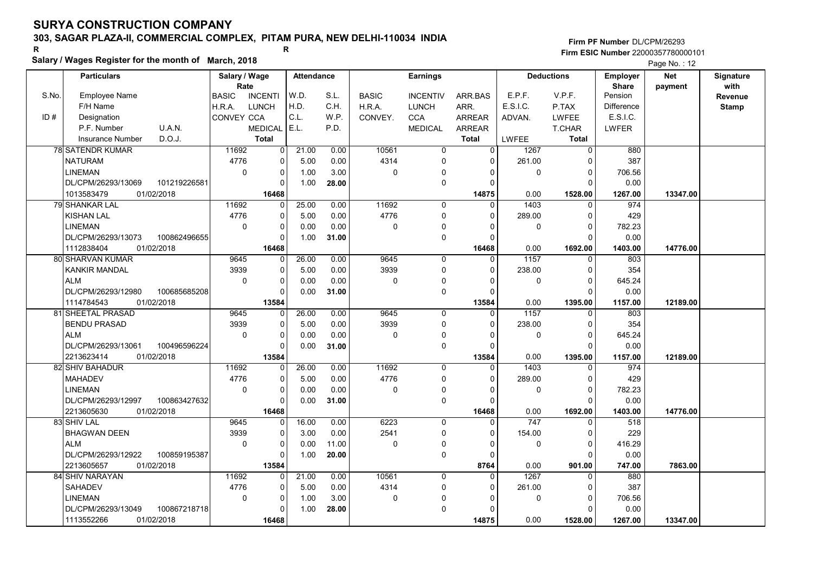# 303, SAGAR PLAZA-II, COMMERCIAL COMPLEX, PITAM PURA, NEW DELHI-110034 INDIA

#### Salary / Wages Register for the month of March, 2018

|       | Salary / wages Register for the month of March, 2018 |                                |                   |       |              |                 |                |              |                   |                 | Page No.: 12 |              |
|-------|------------------------------------------------------|--------------------------------|-------------------|-------|--------------|-----------------|----------------|--------------|-------------------|-----------------|--------------|--------------|
|       | <b>Particulars</b>                                   | Salary / Wage                  | <b>Attendance</b> |       |              | <b>Earnings</b> |                |              | <b>Deductions</b> | <b>Employer</b> | <b>Net</b>   | Signature    |
|       |                                                      | Rate                           |                   |       |              |                 |                |              |                   | <b>Share</b>    | payment      | with         |
| S.No. | <b>Employee Name</b>                                 | <b>BASIC</b><br><b>INCENTI</b> | W.D.              | S.L.  | <b>BASIC</b> | <b>INCENTIV</b> | ARR.BAS        | E.P.F.       | V.P.F.            | Pension         |              | Revenue      |
|       | F/H Name                                             | <b>LUNCH</b><br>H.R.A.         | H.D.              | C.H.  | H.R.A.       | <b>LUNCH</b>    | ARR.           | E.S.I.C.     | P.TAX             | Difference      |              | <b>Stamp</b> |
| ID#   | Designation                                          | <b>CONVEY CCA</b>              | C.L.              | W.P.  | CONVEY.      | <b>CCA</b>      | <b>ARREAR</b>  | ADVAN.       | <b>LWFEE</b>      | E.S.I.C.        |              |              |
|       | U.A.N.<br>P.F. Number                                | <b>MEDICAL</b>                 | E.L.              | P.D.  |              | <b>MEDICAL</b>  | <b>ARREAR</b>  |              | T.CHAR            | <b>LWFER</b>    |              |              |
|       | D.O.J.<br><b>Insurance Number</b>                    | <b>Total</b>                   |                   |       |              |                 | <b>Total</b>   | <b>LWFEE</b> | <b>Total</b>      |                 |              |              |
|       | <b>78 SATENDR KUMAR</b>                              | 11692<br>$\overline{0}$        | 21.00             | 0.00  | 10561        | $\mathbf 0$     | $\overline{0}$ | 1267         | $\mathbf 0$       | 880             |              |              |
|       | <b>NATURAM</b>                                       | 4776<br>$\Omega$               | 5.00              | 0.00  | 4314         | $\Omega$        | $\Omega$       | 261.00       | $\Omega$          | 387             |              |              |
|       | <b>LINEMAN</b>                                       | $\pmb{0}$<br>0                 | 1.00              | 3.00  | 0            | $\mathbf{0}$    | $\Omega$       | 0            | $\mathbf 0$       | 706.56          |              |              |
|       | DL/CPM/26293/13069<br>101219226581                   | 0                              | 1.00              | 28.00 |              | $\mathbf 0$     | 0              |              | $\Omega$          | 0.00            |              |              |
|       | 1013583479<br>01/02/2018                             | 16468                          |                   |       |              |                 | 14875          | 0.00         | 1528.00           | 1267.00         | 13347.00     |              |
|       | 79 SHANKAR LAL                                       | 11692<br>$\Omega$              | 25.00             | 0.00  | 11692        | $\Omega$        | $\Omega$       | 1403         | $\Omega$          | 974             |              |              |
|       | <b>KISHAN LAL</b>                                    | 4776<br>0                      | 5.00              | 0.00  | 4776         | 0               | $\Omega$       | 289.00       | $\mathbf 0$       | 429             |              |              |
|       | <b>LINEMAN</b>                                       | $\mathbf 0$<br>0               | 0.00              | 0.00  | 0            | 0               | $\Omega$       | 0            | $\Omega$          | 782.23          |              |              |
|       | DL/CPM/26293/13073<br>100862496655                   | 0                              | 1.00              | 31.00 |              | $\mathbf 0$     | $\Omega$       |              | $\Omega$          | 0.00            |              |              |
|       | 1112838404<br>01/02/2018                             | 16468                          |                   |       |              |                 | 16468          | 0.00         | 1692.00           | 1403.00         | 14776.00     |              |
|       | 80 SHARVAN KUMAR                                     | 9645<br>0                      | 26.00             | 0.00  | 9645         | 0               | $\mathbf 0$    | 1157         | 0                 | 803             |              |              |
|       | <b>KANKIR MANDAL</b>                                 | 3939<br>0                      | 5.00              | 0.00  | 3939         | $\mathbf 0$     | $\Omega$       | 238.00       | $\mathbf 0$       | 354             |              |              |
|       | <b>ALM</b>                                           | $\Omega$<br>$\Omega$           | 0.00              | 0.00  | 0            | $\mathbf 0$     | O              | 0            | $\Omega$          | 645.24          |              |              |
|       | 100685685208<br>DL/CPM/26293/12980                   | $\Omega$                       | 0.00              | 31.00 |              | $\mathbf 0$     | 0              |              | $\Omega$          | 0.00            |              |              |
|       | 1114784543<br>01/02/2018                             | 13584                          |                   |       |              |                 | 13584          | 0.00         | 1395.00           | 1157.00         | 12189.00     |              |
|       | 81 SHEETAL PRASAD                                    | 9645<br>0                      | 26.00             | 0.00  | 9645         | $\Omega$        | $\Omega$       | 1157         | $\Omega$          | 803             |              |              |
|       | <b>BENDU PRASAD</b>                                  | 3939<br>0                      | 5.00              | 0.00  | 3939         | $\mathbf 0$     | $\Omega$       | 238.00       | $\Omega$          | 354             |              |              |
|       | <b>ALM</b>                                           | $\mathbf 0$<br>0               | 0.00              | 0.00  | 0            | $\Omega$        | $\Omega$       | 0            | $\mathbf 0$       | 645.24          |              |              |
|       | DL/CPM/26293/13061<br>100496596224                   | $\Omega$                       | 0.00              | 31.00 |              | $\mathbf 0$     | $\Omega$       |              | $\Omega$          | 0.00            |              |              |
|       | 2213623414<br>01/02/2018                             | 13584                          |                   |       |              |                 | 13584          | 0.00         | 1395.00           | 1157.00         | 12189.00     |              |
|       | 82 SHIV BAHADUR                                      | 11692<br>$\Omega$              | 26.00             | 0.00  | 11692        | 0               | 0              | 1403         | $\Omega$          | 974             |              |              |
|       | <b>MAHADEV</b>                                       | 4776<br>0                      | 5.00              | 0.00  | 4776         | $\mathbf 0$     | $\Omega$       | 289.00       | 0                 | 429             |              |              |
|       | <b>LINEMAN</b>                                       | $\Omega$<br>$\Omega$           | 0.00              | 0.00  | 0            | 0               | $\Omega$       | 0            | $\Omega$          | 782.23          |              |              |
|       | DL/CPM/26293/12997<br>100863427632                   | 0                              | 0.00              | 31.00 |              | $\pmb{0}$       | $\Omega$       |              | $\Omega$          | 0.00            |              |              |
|       | 2213605630<br>01/02/2018                             | 16468                          |                   |       |              |                 | 16468          | 0.00         | 1692.00           | 1403.00         | 14776.00     |              |
|       | 83 SHIV LAL                                          | 9645<br>0                      | 16.00             | 0.00  | 6223         | $\mathbf 0$     | $\Omega$       | 747          | $\mathbf 0$       | 518             |              |              |
|       | <b>BHAGWAN DEEN</b>                                  | 3939<br>0                      | 3.00              | 0.00  | 2541         | $\mathbf 0$     | $\Omega$       | 154.00       | $\Omega$          | 229             |              |              |
|       | <b>ALM</b>                                           | $\mathbf 0$<br>0               | 0.00              | 11.00 | 0            | $\mathbf 0$     | 0              | 0            | $\Omega$          | 416.29          |              |              |
|       | DL/CPM/26293/12922<br>100859195387                   | $\Omega$                       | 1.00              | 20.00 |              | $\mathbf 0$     | $\Omega$       |              | $\Omega$          | 0.00            |              |              |
|       | 2213605657<br>01/02/2018                             | 13584                          |                   |       |              |                 | 8764           | 0.00         | 901.00            | 747.00          | 7863.00      |              |
|       | 84 SHIV NARAYAN                                      | 11692<br>$\Omega$              | 21.00             | 0.00  | 10561        | $\Omega$        | $\Omega$       | 1267         | $\Omega$          | 880             |              |              |
|       | <b>SAHADEV</b>                                       | 4776<br>0                      | 5.00              | 0.00  | 4314         | $\mathbf 0$     | $\Omega$       | 261.00       | $\Omega$          | 387             |              |              |
|       | <b>LINEMAN</b>                                       | $\mathbf 0$<br>0               | 1.00              | 3.00  | 0            | 0               | 0              | 0            | $\mathbf 0$       | 706.56          |              |              |
|       | DL/CPM/26293/13049<br>100867218718                   | $\Omega$                       | 1.00              | 28.00 |              | $\Omega$        |                |              | $\Omega$          | 0.00            |              |              |
|       | 1113552266<br>01/02/2018                             | 16468                          |                   |       |              |                 | 14875          | 0.00         | 1528.00           | 1267.00         | 13347.00     |              |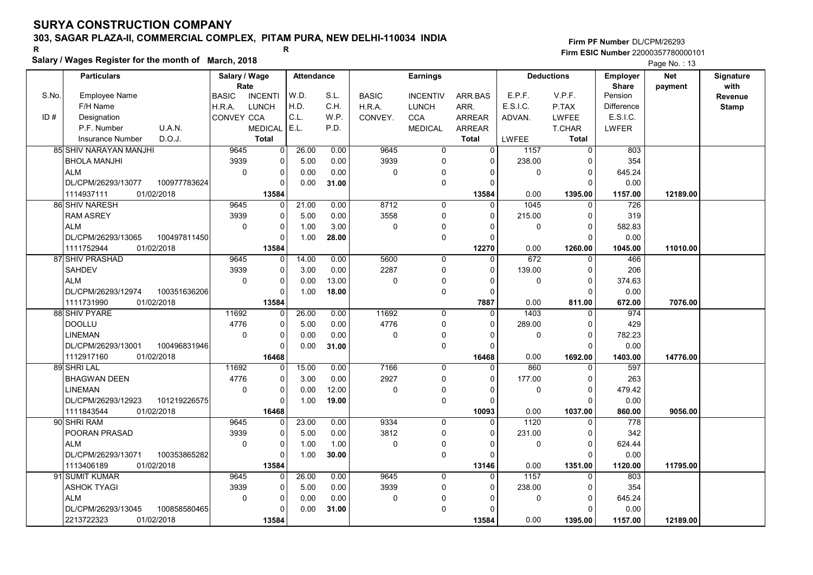### 303, SAGAR PLAZA-II, COMMERCIAL COMPLEX, PITAM PURA, NEW DELHI-110034 INDIA

#### Salary / Wages Register for the month of March, 2018

|       | Salary / Wages Register for the month of March, 2018 |                                |                         |                                      |              |                 |                |              |                   |              | Page No.: 13 |              |  |
|-------|------------------------------------------------------|--------------------------------|-------------------------|--------------------------------------|--------------|-----------------|----------------|--------------|-------------------|--------------|--------------|--------------|--|
|       | <b>Particulars</b><br>Salary / Wage                  |                                |                         | <b>Earnings</b><br><b>Attendance</b> |              |                 |                |              | <b>Deductions</b> |              | <b>Net</b>   | Signature    |  |
|       |                                                      | Rate                           |                         |                                      |              |                 |                |              |                   | <b>Share</b> | payment      | with         |  |
| S.No. | <b>Employee Name</b>                                 | <b>BASIC</b><br><b>INCENTI</b> | W.D.                    | S.L.                                 | <b>BASIC</b> | <b>INCENTIV</b> | ARR.BAS        | E.P.F.       | V.P.F.            | Pension      |              | Revenue      |  |
|       | F/H Name                                             | <b>LUNCH</b><br>H.R.A.         | H.D.                    | C.H.                                 | H.R.A.       | <b>LUNCH</b>    | ARR.           | E.S.I.C.     | P.TAX             | Difference   |              | <b>Stamp</b> |  |
| ID#   | Designation                                          | CONVEY CCA                     | C.L.                    | W.P.                                 | CONVEY.      | <b>CCA</b>      | ARREAR         | ADVAN.       | <b>LWFEE</b>      | E.S.I.C.     |              |              |  |
|       | U.A.N.<br>P.F. Number                                | <b>MEDICAL</b>                 | E.L.                    | P.D.                                 |              | <b>MEDICAL</b>  | ARREAR         |              | T.CHAR            | LWFER        |              |              |  |
|       | D.O.J.<br><b>Insurance Number</b>                    | <b>Total</b>                   |                         |                                      |              |                 | <b>Total</b>   | <b>LWFEE</b> | <b>Total</b>      |              |              |              |  |
|       | 85 SHIV NARAYAN MANJHI                               | 9645                           | 26.00<br>$\overline{0}$ | 0.00                                 | 9645         | $\mathbf 0$     | $\overline{0}$ | 1157         | $\mathbf 0$       | 803          |              |              |  |
|       | <b>BHOLA MANJHI</b>                                  | 3939<br>0                      | 5.00                    | 0.00                                 | 3939         | $\mathbf 0$     | $\Omega$       | 238.00       | $\Omega$          | 354          |              |              |  |
|       | <b>ALM</b>                                           | $\mathbf 0$<br>0               | 0.00                    | 0.00                                 | 0            | $\Omega$        | 0              | 0            | 0                 | 645.24       |              |              |  |
|       | DL/CPM/26293/13077<br>100977783624                   | $\Omega$                       | 0.00                    | 31.00                                |              | $\mathbf 0$     | $\Omega$       |              | $\Omega$          | 0.00         |              |              |  |
|       | 1114937111<br>01/02/2018                             | 13584                          |                         |                                      |              |                 | 13584          | 0.00         | 1395.00           | 1157.00      | 12189.00     |              |  |
|       | 86 SHIV NARESH                                       | 9645<br>$\Omega$               | 21.00                   | 0.00                                 | 8712         | 0               | $\Omega$       | 1045         | $\Omega$          | 726          |              |              |  |
|       | <b>RAM ASREY</b>                                     | 3939<br>0                      | 5.00                    | 0.00                                 | 3558         | $\mathbf 0$     | 0              | 215.00       | 0                 | 319          |              |              |  |
|       | <b>ALM</b>                                           | $\pmb{0}$<br>0                 | 1.00                    | 3.00                                 | 0            | 0               | $\Omega$       | 0            | $\Omega$          | 582.83       |              |              |  |
|       | DL/CPM/26293/13065<br>100497811450                   | 0                              | 1.00                    | 28.00                                |              | $\mathbf 0$     | $\Omega$       |              | $\Omega$          | 0.00         |              |              |  |
|       | 1111752944<br>01/02/2018                             | 13584                          |                         |                                      |              |                 | 12270          | 0.00         | 1260.00           | 1045.00      | 11010.00     |              |  |
|       | 87 SHIV PRASHAD                                      | 9645<br>0                      | 14.00                   | 0.00                                 | 5600         | $\mathbf 0$     | 0              | 672          | 0                 | 466          |              |              |  |
|       | <b>SAHDEV</b>                                        | 3939<br>0                      | 3.00                    | 0.00                                 | 2287         | $\mathbf 0$     | $\Omega$       | 139.00       | $\Omega$          | 206          |              |              |  |
|       | <b>ALM</b>                                           | $\Omega$<br>$\Omega$           | 0.00                    | 13.00                                | $\Omega$     | $\mathbf 0$     | $\Omega$       | $\Omega$     | $\Omega$          | 374.63       |              |              |  |
|       | DL/CPM/26293/12974<br>100351636206                   | $\Omega$                       | 1.00                    | 18.00                                |              | $\mathbf 0$     | $\mathbf{0}$   |              | $\Omega$          | 0.00         |              |              |  |
|       | 01/02/2018<br>1111731990                             | 13584                          |                         |                                      |              |                 | 7887           | 0.00         | 811.00            | 672.00       | 7076.00      |              |  |
|       | 88 SHIV PYARE                                        | 11692                          | 26.00<br>$\Omega$       | 0.00                                 | 11692        | $\Omega$        | $\Omega$       | 1403         | $\Omega$          | 974          |              |              |  |
|       | <b>DOOLLU</b>                                        | 4776<br>0                      | 5.00                    | 0.00                                 | 4776         | $\mathbf 0$     | $\Omega$       | 289.00       | $\Omega$          | 429          |              |              |  |
|       | <b>LINEMAN</b>                                       | $\mathbf 0$<br>0               | 0.00                    | 0.00                                 | 0            | 0               | 0              | 0            | $\mathbf 0$       | 782.23       |              |              |  |
|       | 100496831946<br>DL/CPM/26293/13001                   | $\Omega$                       | 0.00                    | 31.00                                |              | $\mathbf 0$     | $\Omega$       |              | $\Omega$          | 0.00         |              |              |  |
|       | 1112917160<br>01/02/2018                             | 16468                          |                         |                                      |              |                 | 16468          | 0.00         | 1692.00           | 1403.00      | 14776.00     |              |  |
|       | 89 SHRI LAL                                          | 11692<br>$\Omega$              | 15.00                   | 0.00                                 | 7166         | 0               | $\mathbf{0}$   | 860          | $\Omega$          | 597          |              |              |  |
|       | <b>BHAGWAN DEEN</b>                                  | 4776<br>0                      | 3.00                    | 0.00                                 | 2927         | $\mathbf 0$     | 0              | 177.00       | $\mathbf 0$       | 263          |              |              |  |
|       | <b>LINEMAN</b>                                       | $\mathbf 0$<br>0               | 0.00                    | 12.00                                | 0            | $\mathbf 0$     | $\Omega$       | 0            | $\Omega$          | 479.42       |              |              |  |
|       | DL/CPM/26293/12923<br>101219226575                   | $\Omega$                       | 1.00                    | 19.00                                |              | $\mathbf 0$     | $\Omega$       |              | $\mathsf{C}$      | 0.00         |              |              |  |
|       | 1111843544<br>01/02/2018                             | 16468                          |                         |                                      |              |                 | 10093          | 0.00         | 1037.00           | 860.00       | 9056.00      |              |  |
|       | 90 SHRI RAM                                          | 9645<br>0                      | 23.00                   | 0.00                                 | 9334         | $\mathbf 0$     | $\Omega$       | 1120         | $\Omega$          | 778          |              |              |  |
|       | POORAN PRASAD                                        | 3939<br>$\Omega$               | 5.00                    | 0.00                                 | 3812         | $\mathbf 0$     | $\Omega$       | 231.00       | $\Omega$          | 342          |              |              |  |
|       | <b>ALM</b>                                           | $\mathbf 0$<br>0               | 1.00                    | 1.00                                 | 0            | 0               | $\Omega$       | 0            | $\overline{0}$    | 624.44       |              |              |  |
|       | DL/CPM/26293/13071<br>100353865282                   | $\Omega$                       | 1.00                    | 30.00                                |              | $\mathbf 0$     | $\Omega$       |              | $\Omega$          | 0.00         |              |              |  |
|       | 1113406189<br>01/02/2018                             | 13584                          |                         |                                      |              |                 | 13146          | 0.00         | 1351.00           | 1120.00      | 11795.00     |              |  |
|       | 91 SUMIT KUMAR                                       | 9645                           | 26.00<br>$\overline{0}$ | 0.00                                 | 9645         | $\mathbf 0$     | 0              | 1157         | $\mathbf 0$       | 803          |              |              |  |
|       | <b>ASHOK TYAGI</b>                                   | 3939<br>0                      | 5.00                    | 0.00                                 | 3939         | $\mathbf 0$     | 0              | 238.00       | $\Omega$          | 354          |              |              |  |
|       | <b>ALM</b>                                           | $\mathbf 0$<br>0               | 0.00                    | 0.00                                 | $\Omega$     | $\Omega$        | $\Omega$       | 0            | 0                 | 645.24       |              |              |  |
|       | DL/CPM/26293/13045<br>100858580465                   | 0                              | 0.00                    | 31.00                                |              | $\mathbf 0$     | O              |              | $\Omega$          | 0.00         |              |              |  |
|       | 2213722323<br>01/02/2018                             | 13584                          |                         |                                      |              |                 | 13584          | 0.00         | 1395.00           | 1157.00      | 12189.00     |              |  |